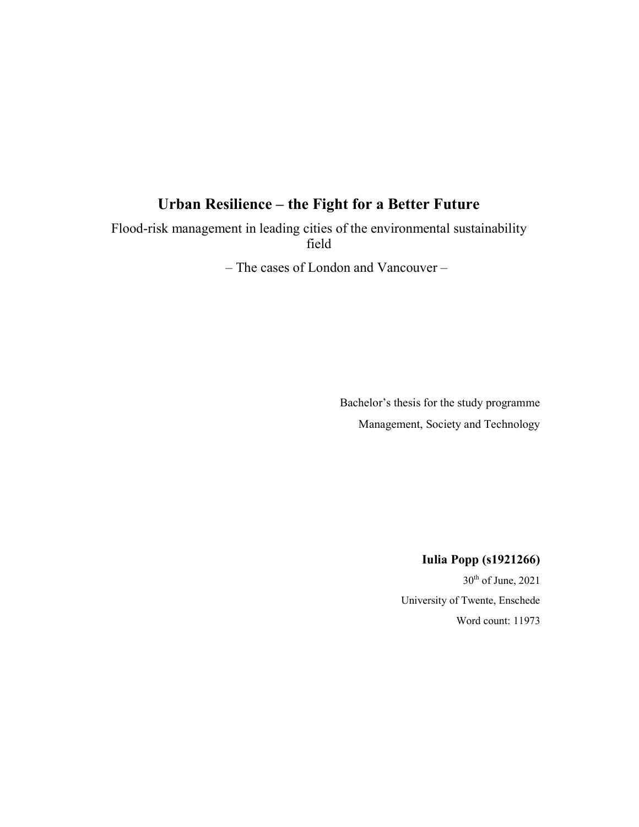# Urban Resilience – the Fight for a Better Future

Flood-risk management in leading cities of the environmental sustainability field

– The cases of London and Vancouver –

Bachelor's thesis for the study programme Management, Society and Technology

Iulia Popp (s1921266)

 $30<sup>th</sup>$  of June, 2021 University of Twente, Enschede Word count: 11973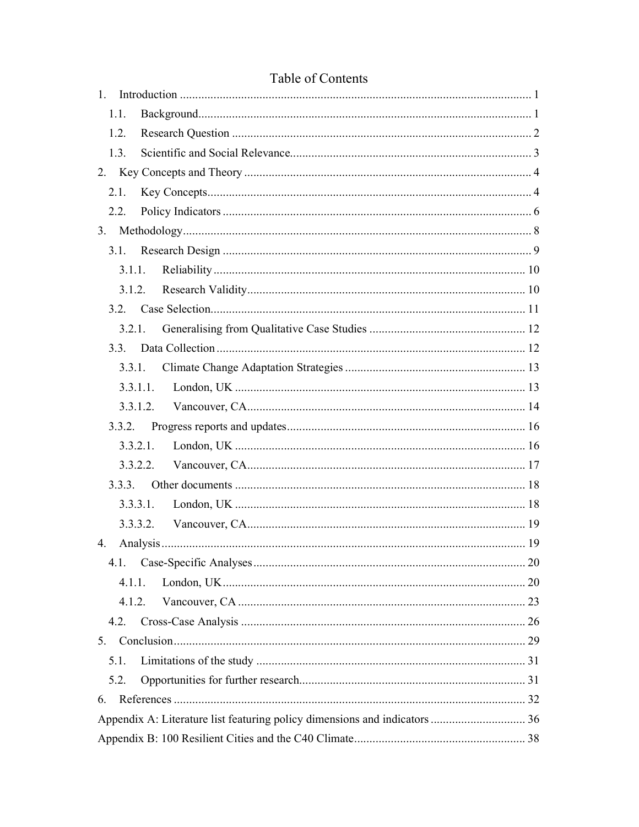| 1.                                                                         |
|----------------------------------------------------------------------------|
| 1.1.                                                                       |
| 1.2.                                                                       |
| 1.3.                                                                       |
|                                                                            |
| 2.1.                                                                       |
| 2.2.                                                                       |
| 3.                                                                         |
| 3.1.                                                                       |
| 3.1.1.                                                                     |
|                                                                            |
|                                                                            |
|                                                                            |
| 3.3.                                                                       |
| 3.3.1.                                                                     |
| 3.3.1.1.                                                                   |
|                                                                            |
|                                                                            |
| 3.3.2.1.                                                                   |
|                                                                            |
|                                                                            |
| 3.3.3.1.                                                                   |
|                                                                            |
| 4.                                                                         |
| 4.1.                                                                       |
| 4.1.1.                                                                     |
| 4.1.2.                                                                     |
| 4.2.                                                                       |
|                                                                            |
| 5.1.                                                                       |
| 5.2.                                                                       |
| 6.                                                                         |
| Appendix A: Literature list featuring policy dimensions and indicators  36 |
|                                                                            |

## Table of Contents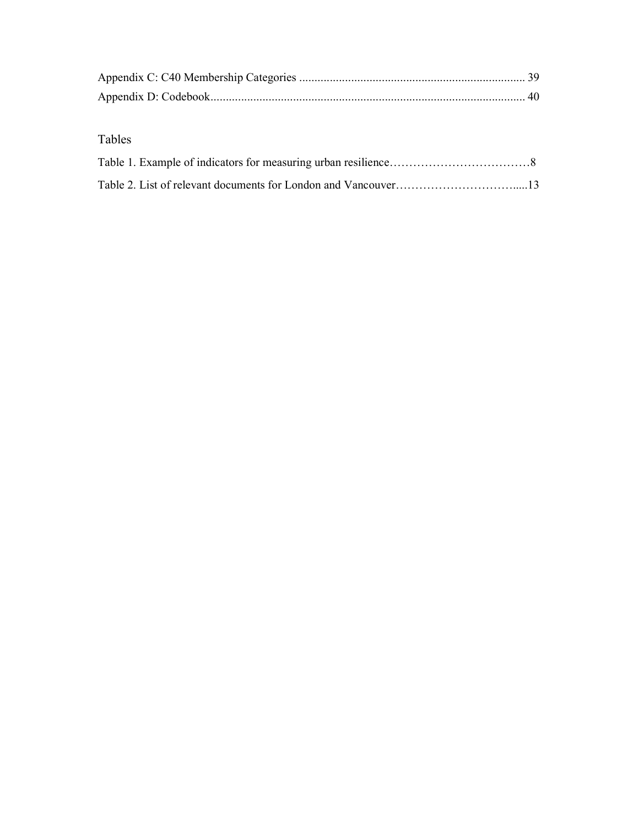## Tables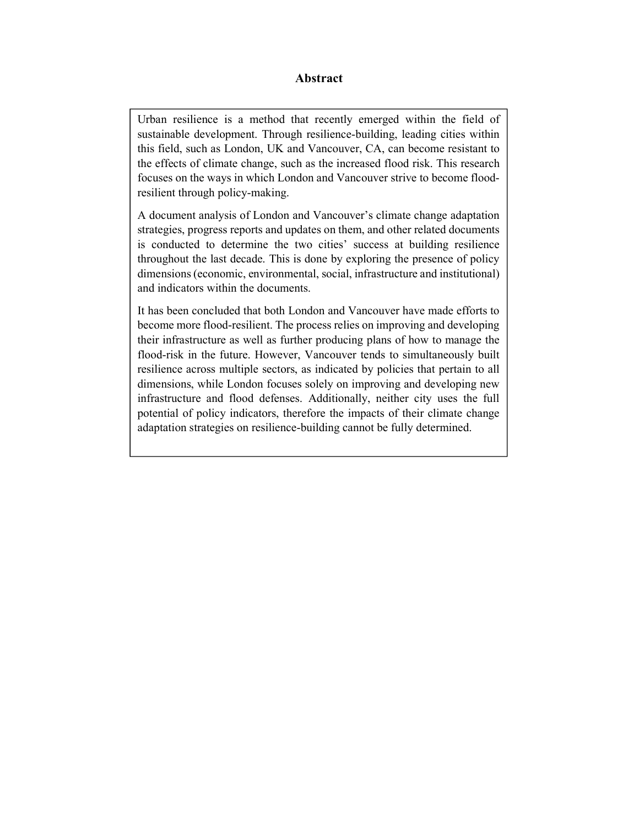## Abstract

Urban resilience is a method that recently emerged within the field of sustainable development. Through resilience-building, leading cities within this field, such as London, UK and Vancouver, CA, can become resistant to the effects of climate change, such as the increased flood risk. This research focuses on the ways in which London and Vancouver strive to become floodresilient through policy-making.

A document analysis of London and Vancouver's climate change adaptation strategies, progress reports and updates on them, and other related documents is conducted to determine the two cities' success at building resilience throughout the last decade. This is done by exploring the presence of policy dimensions (economic, environmental, social, infrastructure and institutional) and indicators within the documents.

It has been concluded that both London and Vancouver have made efforts to become more flood-resilient. The process relies on improving and developing their infrastructure as well as further producing plans of how to manage the flood-risk in the future. However, Vancouver tends to simultaneously built resilience across multiple sectors, as indicated by policies that pertain to all dimensions, while London focuses solely on improving and developing new infrastructure and flood defenses. Additionally, neither city uses the full potential of policy indicators, therefore the impacts of their climate change adaptation strategies on resilience-building cannot be fully determined.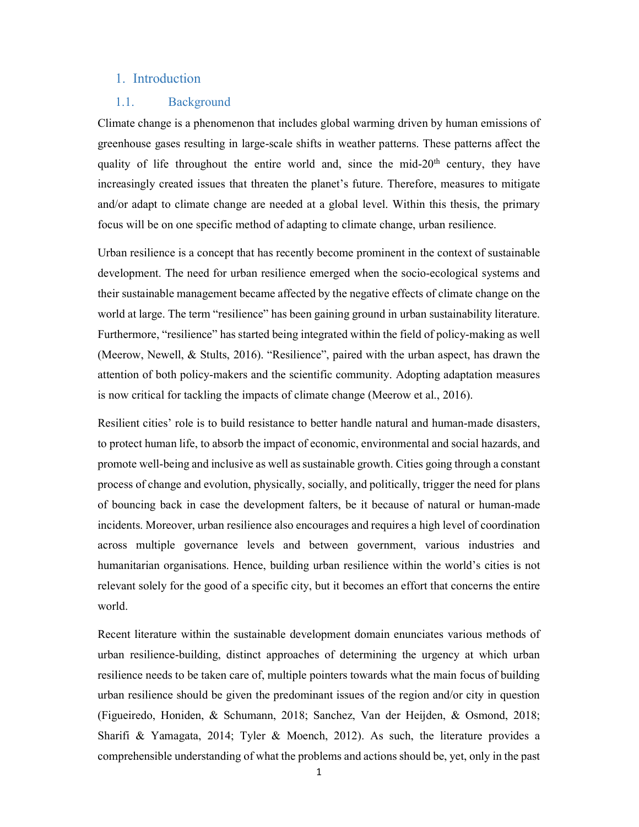### 1. Introduction

#### 1.1. Background

Climate change is a phenomenon that includes global warming driven by human emissions of greenhouse gases resulting in large-scale shifts in weather patterns. These patterns affect the quality of life throughout the entire world and, since the mid- $20<sup>th</sup>$  century, they have increasingly created issues that threaten the planet's future. Therefore, measures to mitigate and/or adapt to climate change are needed at a global level. Within this thesis, the primary focus will be on one specific method of adapting to climate change, urban resilience.

Urban resilience is a concept that has recently become prominent in the context of sustainable development. The need for urban resilience emerged when the socio-ecological systems and their sustainable management became affected by the negative effects of climate change on the world at large. The term "resilience" has been gaining ground in urban sustainability literature. Furthermore, "resilience" has started being integrated within the field of policy-making as well (Meerow, Newell, & Stults, 2016). "Resilience", paired with the urban aspect, has drawn the attention of both policy-makers and the scientific community. Adopting adaptation measures is now critical for tackling the impacts of climate change (Meerow et al., 2016).

Resilient cities' role is to build resistance to better handle natural and human-made disasters, to protect human life, to absorb the impact of economic, environmental and social hazards, and promote well-being and inclusive as well as sustainable growth. Cities going through a constant process of change and evolution, physically, socially, and politically, trigger the need for plans of bouncing back in case the development falters, be it because of natural or human-made incidents. Moreover, urban resilience also encourages and requires a high level of coordination across multiple governance levels and between government, various industries and humanitarian organisations. Hence, building urban resilience within the world's cities is not relevant solely for the good of a specific city, but it becomes an effort that concerns the entire world.

Recent literature within the sustainable development domain enunciates various methods of urban resilience-building, distinct approaches of determining the urgency at which urban resilience needs to be taken care of, multiple pointers towards what the main focus of building urban resilience should be given the predominant issues of the region and/or city in question (Figueiredo, Honiden, & Schumann, 2018; Sanchez, Van der Heijden, & Osmond, 2018; Sharifi & Yamagata, 2014; Tyler & Moench, 2012). As such, the literature provides a comprehensible understanding of what the problems and actions should be, yet, only in the past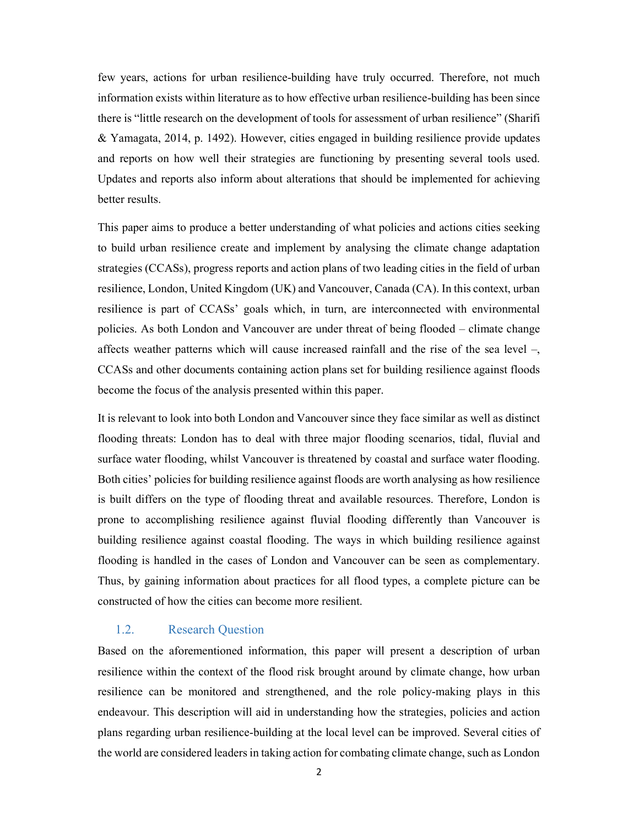few years, actions for urban resilience-building have truly occurred. Therefore, not much information exists within literature as to how effective urban resilience-building has been since there is "little research on the development of tools for assessment of urban resilience" (Sharifi & Yamagata, 2014, p. 1492). However, cities engaged in building resilience provide updates and reports on how well their strategies are functioning by presenting several tools used. Updates and reports also inform about alterations that should be implemented for achieving better results.

This paper aims to produce a better understanding of what policies and actions cities seeking to build urban resilience create and implement by analysing the climate change adaptation strategies (CCASs), progress reports and action plans of two leading cities in the field of urban resilience, London, United Kingdom (UK) and Vancouver, Canada (CA). In this context, urban resilience is part of CCASs' goals which, in turn, are interconnected with environmental policies. As both London and Vancouver are under threat of being flooded – climate change affects weather patterns which will cause increased rainfall and the rise of the sea level –, CCASs and other documents containing action plans set for building resilience against floods become the focus of the analysis presented within this paper.

It is relevant to look into both London and Vancouver since they face similar as well as distinct flooding threats: London has to deal with three major flooding scenarios, tidal, fluvial and surface water flooding, whilst Vancouver is threatened by coastal and surface water flooding. Both cities' policies for building resilience against floods are worth analysing as how resilience is built differs on the type of flooding threat and available resources. Therefore, London is prone to accomplishing resilience against fluvial flooding differently than Vancouver is building resilience against coastal flooding. The ways in which building resilience against flooding is handled in the cases of London and Vancouver can be seen as complementary. Thus, by gaining information about practices for all flood types, a complete picture can be constructed of how the cities can become more resilient.

#### 1.2. Research Question

Based on the aforementioned information, this paper will present a description of urban resilience within the context of the flood risk brought around by climate change, how urban resilience can be monitored and strengthened, and the role policy-making plays in this endeavour. This description will aid in understanding how the strategies, policies and action plans regarding urban resilience-building at the local level can be improved. Several cities of the world are considered leaders in taking action for combating climate change, such as London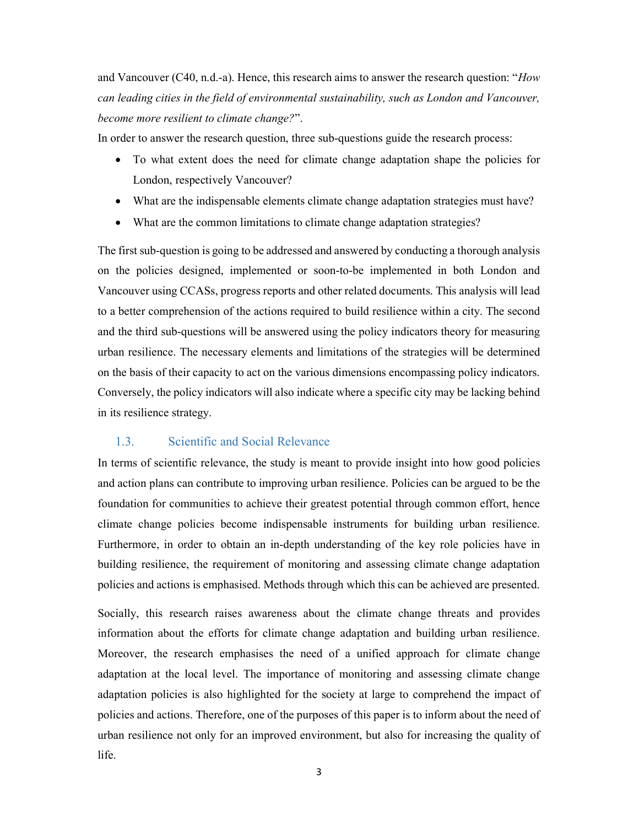and Vancouver (C40, n.d.-a). Hence, this research aims to answer the research question: "How can leading cities in the field of environmental sustainability, such as London and Vancouver, become more resilient to climate change?".

In order to answer the research question, three sub-questions guide the research process:

- To what extent does the need for climate change adaptation shape the policies for London, respectively Vancouver?
- What are the indispensable elements climate change adaptation strategies must have?
- What are the common limitations to climate change adaptation strategies?

The first sub-question is going to be addressed and answered by conducting a thorough analysis on the policies designed, implemented or soon-to-be implemented in both London and Vancouver using CCASs, progress reports and other related documents. This analysis will lead to a better comprehension of the actions required to build resilience within a city. The second and the third sub-questions will be answered using the policy indicators theory for measuring urban resilience. The necessary elements and limitations of the strategies will be determined on the basis of their capacity to act on the various dimensions encompassing policy indicators. Conversely, the policy indicators will also indicate where a specific city may be lacking behind in its resilience strategy.

#### 1.3. Scientific and Social Relevance

In terms of scientific relevance, the study is meant to provide insight into how good policies and action plans can contribute to improving urban resilience. Policies can be argued to be the foundation for communities to achieve their greatest potential through common effort, hence climate change policies become indispensable instruments for building urban resilience. Furthermore, in order to obtain an in-depth understanding of the key role policies have in building resilience, the requirement of monitoring and assessing climate change adaptation policies and actions is emphasised. Methods through which this can be achieved are presented.

Socially, this research raises awareness about the climate change threats and provides information about the efforts for climate change adaptation and building urban resilience. Moreover, the research emphasises the need of a unified approach for climate change adaptation at the local level. The importance of monitoring and assessing climate change adaptation policies is also highlighted for the society at large to comprehend the impact of policies and actions. Therefore, one of the purposes of this paper is to inform about the need of urban resilience not only for an improved environment, but also for increasing the quality of life.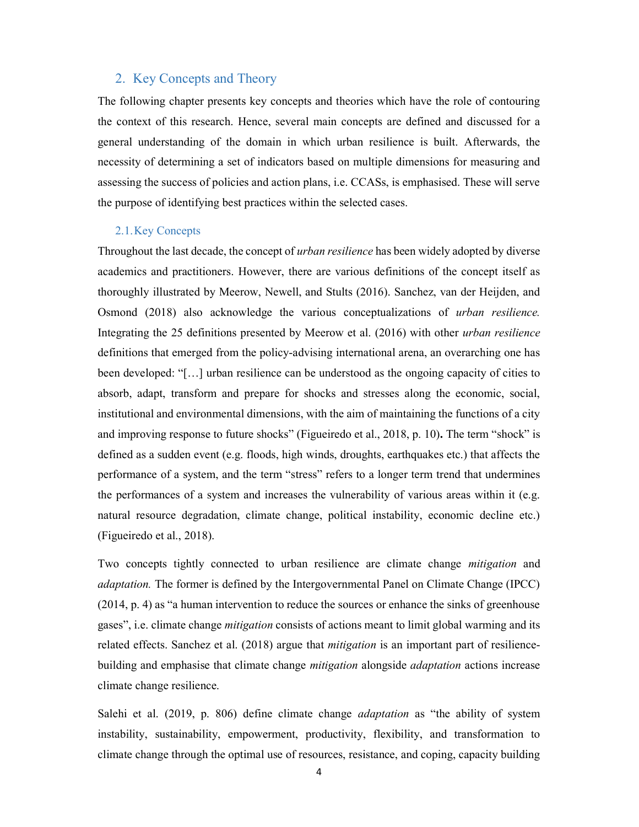#### 2. Key Concepts and Theory

The following chapter presents key concepts and theories which have the role of contouring the context of this research. Hence, several main concepts are defined and discussed for a general understanding of the domain in which urban resilience is built. Afterwards, the necessity of determining a set of indicators based on multiple dimensions for measuring and assessing the success of policies and action plans, i.e. CCASs, is emphasised. These will serve the purpose of identifying best practices within the selected cases.

### 2.1.Key Concepts

Throughout the last decade, the concept of *urban resilience* has been widely adopted by diverse academics and practitioners. However, there are various definitions of the concept itself as thoroughly illustrated by Meerow, Newell, and Stults (2016). Sanchez, van der Heijden, and Osmond (2018) also acknowledge the various conceptualizations of urban resilience. Integrating the 25 definitions presented by Meerow et al. (2016) with other urban resilience definitions that emerged from the policy-advising international arena, an overarching one has been developed: "[…] urban resilience can be understood as the ongoing capacity of cities to absorb, adapt, transform and prepare for shocks and stresses along the economic, social, institutional and environmental dimensions, with the aim of maintaining the functions of a city and improving response to future shocks" (Figueiredo et al., 2018, p. 10). The term "shock" is defined as a sudden event (e.g. floods, high winds, droughts, earthquakes etc.) that affects the performance of a system, and the term "stress" refers to a longer term trend that undermines the performances of a system and increases the vulnerability of various areas within it (e.g. natural resource degradation, climate change, political instability, economic decline etc.) (Figueiredo et al., 2018).

Two concepts tightly connected to urban resilience are climate change *mitigation* and adaptation. The former is defined by the Intergovernmental Panel on Climate Change (IPCC) (2014, p. 4) as "a human intervention to reduce the sources or enhance the sinks of greenhouse gases", i.e. climate change *mitigation* consists of actions meant to limit global warming and its related effects. Sanchez et al. (2018) argue that mitigation is an important part of resiliencebuilding and emphasise that climate change *mitigation* alongside *adaptation* actions increase climate change resilience.

Salehi et al. (2019, p. 806) define climate change *adaptation* as "the ability of system instability, sustainability, empowerment, productivity, flexibility, and transformation to climate change through the optimal use of resources, resistance, and coping, capacity building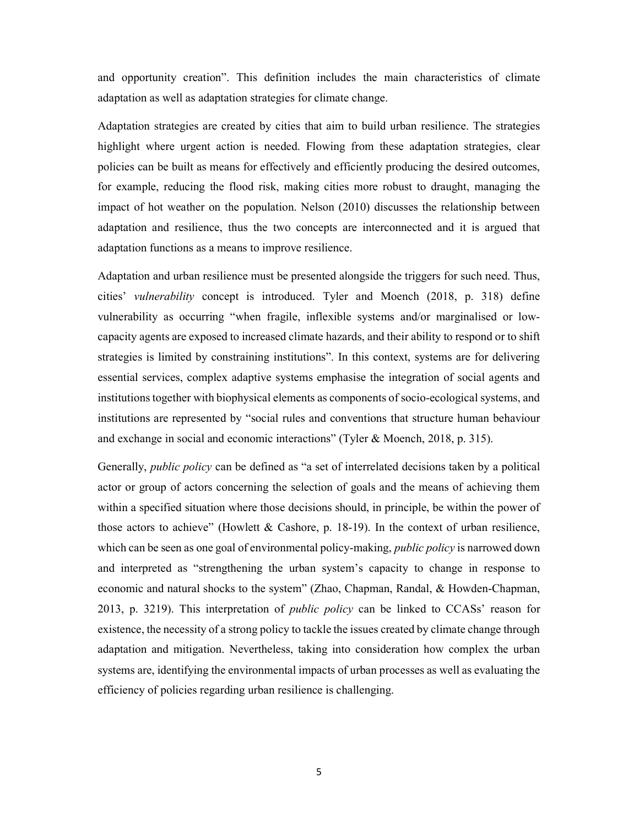and opportunity creation". This definition includes the main characteristics of climate adaptation as well as adaptation strategies for climate change.

Adaptation strategies are created by cities that aim to build urban resilience. The strategies highlight where urgent action is needed. Flowing from these adaptation strategies, clear policies can be built as means for effectively and efficiently producing the desired outcomes, for example, reducing the flood risk, making cities more robust to draught, managing the impact of hot weather on the population. Nelson (2010) discusses the relationship between adaptation and resilience, thus the two concepts are interconnected and it is argued that adaptation functions as a means to improve resilience.

Adaptation and urban resilience must be presented alongside the triggers for such need. Thus, cities' vulnerability concept is introduced. Tyler and Moench (2018, p. 318) define vulnerability as occurring "when fragile, inflexible systems and/or marginalised or lowcapacity agents are exposed to increased climate hazards, and their ability to respond or to shift strategies is limited by constraining institutions". In this context, systems are for delivering essential services, complex adaptive systems emphasise the integration of social agents and institutions together with biophysical elements as components of socio-ecological systems, and institutions are represented by "social rules and conventions that structure human behaviour and exchange in social and economic interactions" (Tyler & Moench, 2018, p. 315).

Generally, public policy can be defined as "a set of interrelated decisions taken by a political actor or group of actors concerning the selection of goals and the means of achieving them within a specified situation where those decisions should, in principle, be within the power of those actors to achieve" (Howlett & Cashore, p. 18-19). In the context of urban resilience, which can be seen as one goal of environmental policy-making, *public policy* is narrowed down and interpreted as "strengthening the urban system's capacity to change in response to economic and natural shocks to the system" (Zhao, Chapman, Randal, & Howden-Chapman, 2013, p. 3219). This interpretation of *public policy* can be linked to CCASs' reason for existence, the necessity of a strong policy to tackle the issues created by climate change through adaptation and mitigation. Nevertheless, taking into consideration how complex the urban systems are, identifying the environmental impacts of urban processes as well as evaluating the efficiency of policies regarding urban resilience is challenging.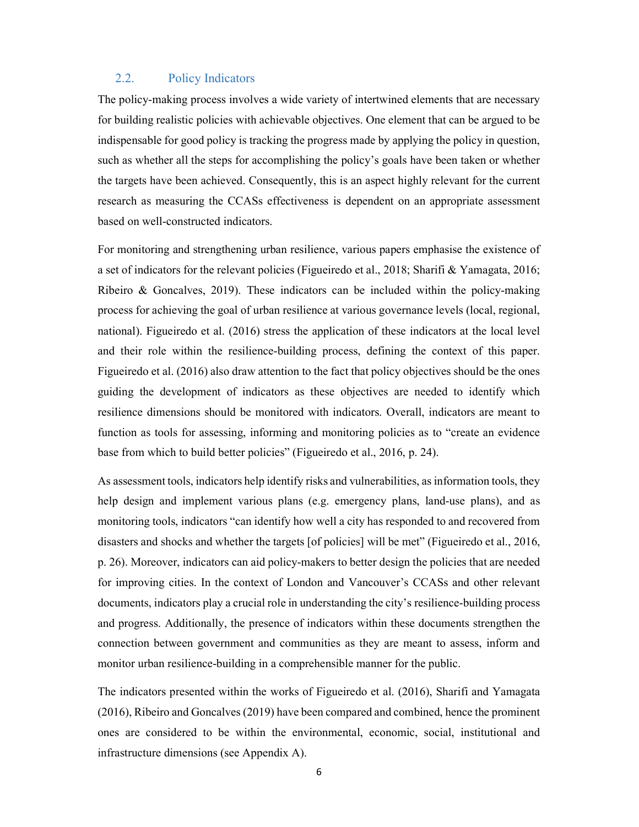#### 2.2. Policy Indicators

The policy-making process involves a wide variety of intertwined elements that are necessary for building realistic policies with achievable objectives. One element that can be argued to be indispensable for good policy is tracking the progress made by applying the policy in question, such as whether all the steps for accomplishing the policy's goals have been taken or whether the targets have been achieved. Consequently, this is an aspect highly relevant for the current research as measuring the CCASs effectiveness is dependent on an appropriate assessment based on well-constructed indicators.

For monitoring and strengthening urban resilience, various papers emphasise the existence of a set of indicators for the relevant policies (Figueiredo et al., 2018; Sharifi & Yamagata, 2016; Ribeiro  $\&$  Goncalves, 2019). These indicators can be included within the policy-making process for achieving the goal of urban resilience at various governance levels (local, regional, national). Figueiredo et al. (2016) stress the application of these indicators at the local level and their role within the resilience-building process, defining the context of this paper. Figueiredo et al. (2016) also draw attention to the fact that policy objectives should be the ones guiding the development of indicators as these objectives are needed to identify which resilience dimensions should be monitored with indicators. Overall, indicators are meant to function as tools for assessing, informing and monitoring policies as to "create an evidence base from which to build better policies" (Figueiredo et al., 2016, p. 24).

As assessment tools, indicators help identify risks and vulnerabilities, as information tools, they help design and implement various plans (e.g. emergency plans, land-use plans), and as monitoring tools, indicators "can identify how well a city has responded to and recovered from disasters and shocks and whether the targets [of policies] will be met" (Figueiredo et al., 2016, p. 26). Moreover, indicators can aid policy-makers to better design the policies that are needed for improving cities. In the context of London and Vancouver's CCASs and other relevant documents, indicators play a crucial role in understanding the city's resilience-building process and progress. Additionally, the presence of indicators within these documents strengthen the connection between government and communities as they are meant to assess, inform and monitor urban resilience-building in a comprehensible manner for the public.

The indicators presented within the works of Figueiredo et al. (2016), Sharifi and Yamagata (2016), Ribeiro and Goncalves (2019) have been compared and combined, hence the prominent ones are considered to be within the environmental, economic, social, institutional and infrastructure dimensions (see Appendix A).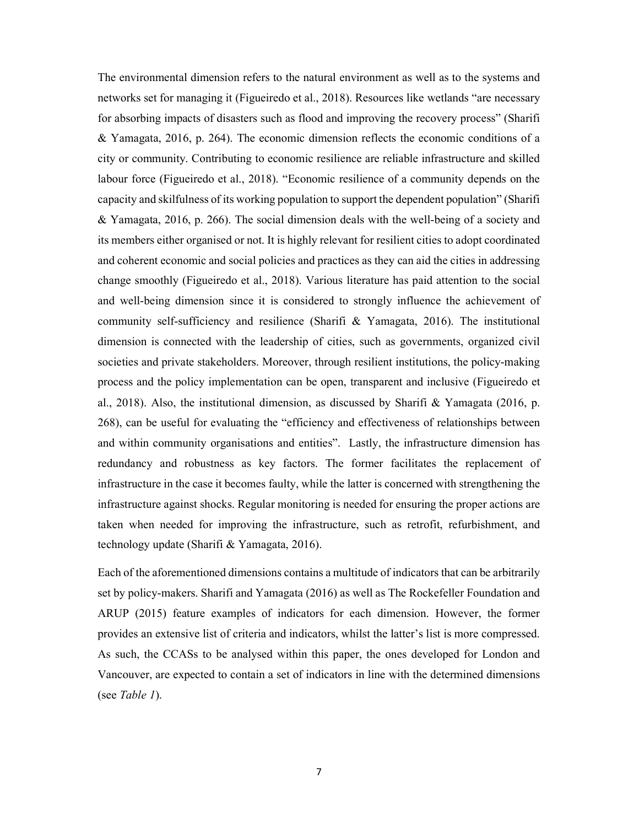The environmental dimension refers to the natural environment as well as to the systems and networks set for managing it (Figueiredo et al., 2018). Resources like wetlands "are necessary for absorbing impacts of disasters such as flood and improving the recovery process" (Sharifi & Yamagata, 2016, p. 264). The economic dimension reflects the economic conditions of a city or community. Contributing to economic resilience are reliable infrastructure and skilled labour force (Figueiredo et al., 2018). "Economic resilience of a community depends on the capacity and skilfulness of its working population to support the dependent population" (Sharifi & Yamagata, 2016, p. 266). The social dimension deals with the well-being of a society and its members either organised or not. It is highly relevant for resilient cities to adopt coordinated and coherent economic and social policies and practices as they can aid the cities in addressing change smoothly (Figueiredo et al., 2018). Various literature has paid attention to the social and well-being dimension since it is considered to strongly influence the achievement of community self-sufficiency and resilience (Sharifi & Yamagata, 2016). The institutional dimension is connected with the leadership of cities, such as governments, organized civil societies and private stakeholders. Moreover, through resilient institutions, the policy-making process and the policy implementation can be open, transparent and inclusive (Figueiredo et al., 2018). Also, the institutional dimension, as discussed by Sharifi & Yamagata (2016, p. 268), can be useful for evaluating the "efficiency and effectiveness of relationships between and within community organisations and entities". Lastly, the infrastructure dimension has redundancy and robustness as key factors. The former facilitates the replacement of infrastructure in the case it becomes faulty, while the latter is concerned with strengthening the infrastructure against shocks. Regular monitoring is needed for ensuring the proper actions are taken when needed for improving the infrastructure, such as retrofit, refurbishment, and technology update (Sharifi & Yamagata, 2016).

Each of the aforementioned dimensions contains a multitude of indicators that can be arbitrarily set by policy-makers. Sharifi and Yamagata (2016) as well as The Rockefeller Foundation and ARUP (2015) feature examples of indicators for each dimension. However, the former provides an extensive list of criteria and indicators, whilst the latter's list is more compressed. As such, the CCASs to be analysed within this paper, the ones developed for London and Vancouver, are expected to contain a set of indicators in line with the determined dimensions (see Table 1).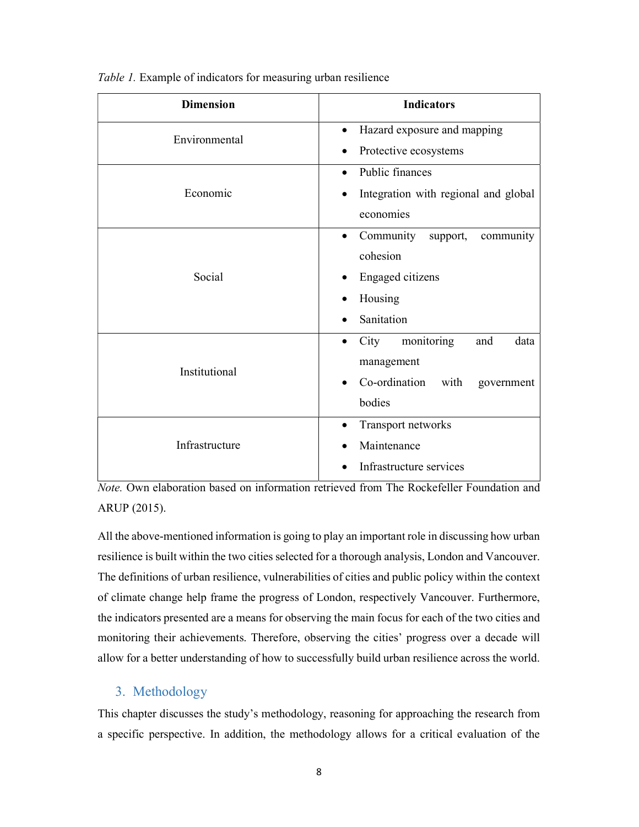| <b>Dimension</b> | <b>Indicators</b>                        |  |
|------------------|------------------------------------------|--|
| Environmental    | Hazard exposure and mapping<br>$\bullet$ |  |
|                  | Protective ecosystems                    |  |
|                  | Public finances<br>$\bullet$             |  |
| Economic         | Integration with regional and global     |  |
|                  | economies                                |  |
|                  | Community<br>support,<br>community       |  |
|                  | cohesion                                 |  |
| Social           | Engaged citizens                         |  |
|                  | Housing                                  |  |
|                  | Sanitation                               |  |
|                  | monitoring<br>City<br>data<br>and        |  |
| Institutional    | management                               |  |
|                  | Co-ordination<br>with<br>government      |  |
|                  | bodies                                   |  |
|                  | Transport networks<br>$\bullet$          |  |
| Infrastructure   | Maintenance                              |  |
|                  | Infrastructure services                  |  |

Table 1. Example of indicators for measuring urban resilience

Note. Own elaboration based on information retrieved from The Rockefeller Foundation and ARUP (2015).

All the above-mentioned information is going to play an important role in discussing how urban resilience is built within the two cities selected for a thorough analysis, London and Vancouver. The definitions of urban resilience, vulnerabilities of cities and public policy within the context of climate change help frame the progress of London, respectively Vancouver. Furthermore, the indicators presented are a means for observing the main focus for each of the two cities and monitoring their achievements. Therefore, observing the cities' progress over a decade will allow for a better understanding of how to successfully build urban resilience across the world.

## 3. Methodology

This chapter discusses the study's methodology, reasoning for approaching the research from a specific perspective. In addition, the methodology allows for a critical evaluation of the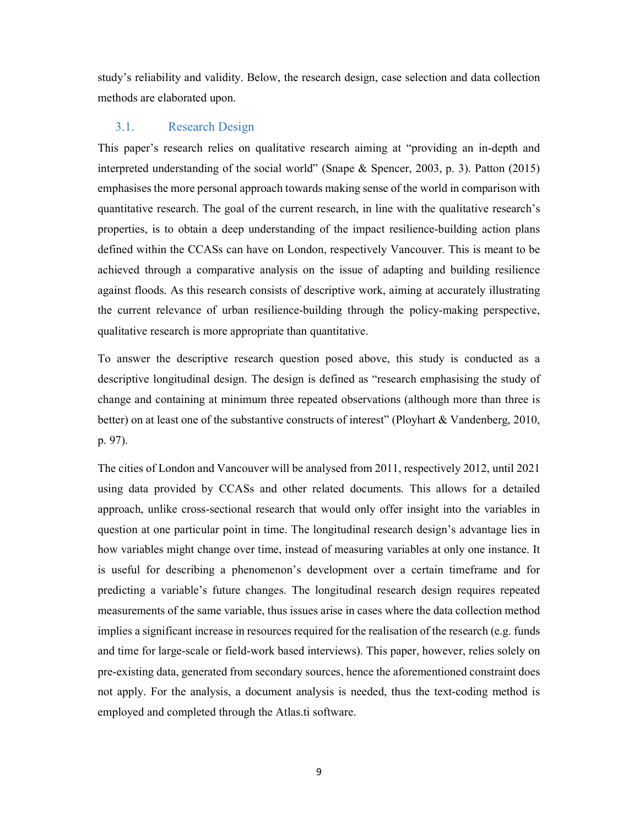study's reliability and validity. Below, the research design, case selection and data collection methods are elaborated upon.

#### 3.1. Research Design

This paper's research relies on qualitative research aiming at "providing an in-depth and interpreted understanding of the social world" (Snape & Spencer, 2003, p. 3). Patton (2015) emphasises the more personal approach towards making sense of the world in comparison with quantitative research. The goal of the current research, in line with the qualitative research's properties, is to obtain a deep understanding of the impact resilience-building action plans defined within the CCASs can have on London, respectively Vancouver. This is meant to be achieved through a comparative analysis on the issue of adapting and building resilience against floods. As this research consists of descriptive work, aiming at accurately illustrating the current relevance of urban resilience-building through the policy-making perspective, qualitative research is more appropriate than quantitative.

To answer the descriptive research question posed above, this study is conducted as a descriptive longitudinal design. The design is defined as "research emphasising the study of change and containing at minimum three repeated observations (although more than three is better) on at least one of the substantive constructs of interest" (Ployhart & Vandenberg, 2010, p. 97).

The cities of London and Vancouver will be analysed from 2011, respectively 2012, until 2021 using data provided by CCASs and other related documents. This allows for a detailed approach, unlike cross-sectional research that would only offer insight into the variables in question at one particular point in time. The longitudinal research design's advantage lies in how variables might change over time, instead of measuring variables at only one instance. It is useful for describing a phenomenon's development over a certain timeframe and for predicting a variable's future changes. The longitudinal research design requires repeated measurements of the same variable, thus issues arise in cases where the data collection method implies a significant increase in resources required for the realisation of the research (e.g. funds and time for large-scale or field-work based interviews). This paper, however, relies solely on pre-existing data, generated from secondary sources, hence the aforementioned constraint does not apply. For the analysis, a document analysis is needed, thus the text-coding method is employed and completed through the Atlas.ti software.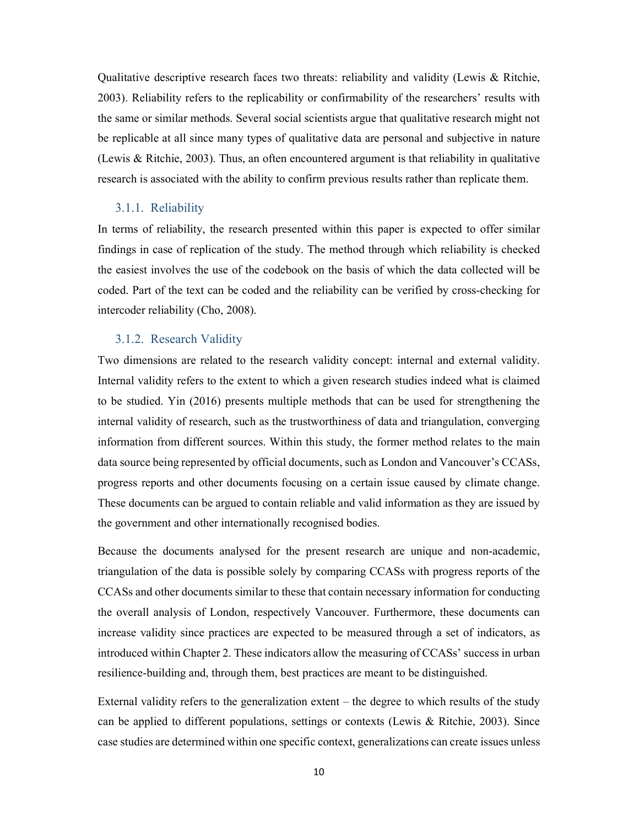Qualitative descriptive research faces two threats: reliability and validity (Lewis & Ritchie, 2003). Reliability refers to the replicability or confirmability of the researchers' results with the same or similar methods. Several social scientists argue that qualitative research might not be replicable at all since many types of qualitative data are personal and subjective in nature (Lewis & Ritchie, 2003). Thus, an often encountered argument is that reliability in qualitative research is associated with the ability to confirm previous results rather than replicate them.

#### 3.1.1. Reliability

In terms of reliability, the research presented within this paper is expected to offer similar findings in case of replication of the study. The method through which reliability is checked the easiest involves the use of the codebook on the basis of which the data collected will be coded. Part of the text can be coded and the reliability can be verified by cross-checking for intercoder reliability (Cho, 2008).

#### 3.1.2. Research Validity

Two dimensions are related to the research validity concept: internal and external validity. Internal validity refers to the extent to which a given research studies indeed what is claimed to be studied. Yin (2016) presents multiple methods that can be used for strengthening the internal validity of research, such as the trustworthiness of data and triangulation, converging information from different sources. Within this study, the former method relates to the main data source being represented by official documents, such as London and Vancouver's CCASs, progress reports and other documents focusing on a certain issue caused by climate change. These documents can be argued to contain reliable and valid information as they are issued by the government and other internationally recognised bodies.

Because the documents analysed for the present research are unique and non-academic, triangulation of the data is possible solely by comparing CCASs with progress reports of the CCASs and other documents similar to these that contain necessary information for conducting the overall analysis of London, respectively Vancouver. Furthermore, these documents can increase validity since practices are expected to be measured through a set of indicators, as introduced within Chapter 2. These indicators allow the measuring of CCASs' success in urban resilience-building and, through them, best practices are meant to be distinguished.

External validity refers to the generalization extent – the degree to which results of the study can be applied to different populations, settings or contexts (Lewis & Ritchie, 2003). Since case studies are determined within one specific context, generalizations can create issues unless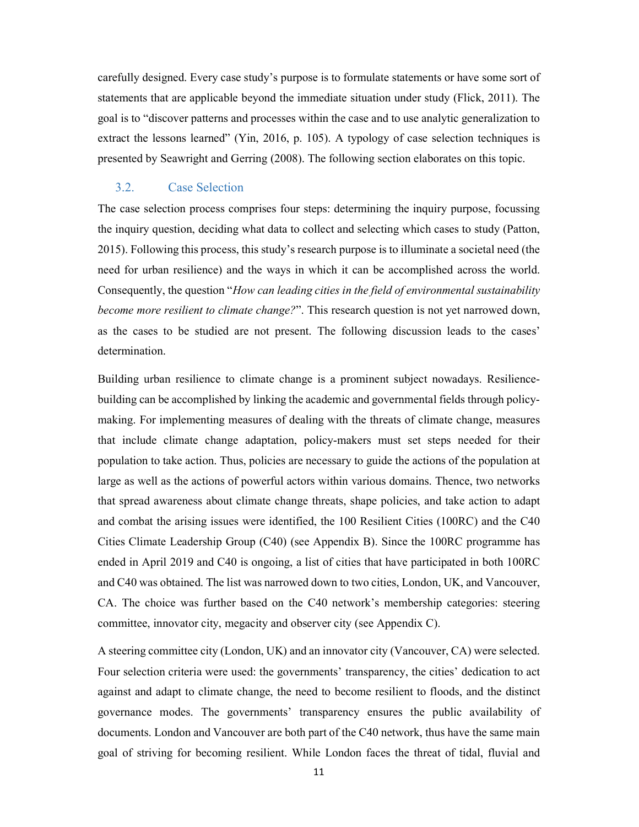carefully designed. Every case study's purpose is to formulate statements or have some sort of statements that are applicable beyond the immediate situation under study (Flick, 2011). The goal is to "discover patterns and processes within the case and to use analytic generalization to extract the lessons learned" (Yin, 2016, p. 105). A typology of case selection techniques is presented by Seawright and Gerring (2008). The following section elaborates on this topic.

#### 3.2. Case Selection

The case selection process comprises four steps: determining the inquiry purpose, focussing the inquiry question, deciding what data to collect and selecting which cases to study (Patton, 2015). Following this process, this study's research purpose is to illuminate a societal need (the need for urban resilience) and the ways in which it can be accomplished across the world. Consequently, the question "How can leading cities in the field of environmental sustainability become more resilient to climate change?". This research question is not yet narrowed down, as the cases to be studied are not present. The following discussion leads to the cases' determination.

Building urban resilience to climate change is a prominent subject nowadays. Resiliencebuilding can be accomplished by linking the academic and governmental fields through policymaking. For implementing measures of dealing with the threats of climate change, measures that include climate change adaptation, policy-makers must set steps needed for their population to take action. Thus, policies are necessary to guide the actions of the population at large as well as the actions of powerful actors within various domains. Thence, two networks that spread awareness about climate change threats, shape policies, and take action to adapt and combat the arising issues were identified, the 100 Resilient Cities (100RC) and the C40 Cities Climate Leadership Group (C40) (see Appendix B). Since the 100RC programme has ended in April 2019 and C40 is ongoing, a list of cities that have participated in both 100RC and C40 was obtained. The list was narrowed down to two cities, London, UK, and Vancouver, CA. The choice was further based on the C40 network's membership categories: steering committee, innovator city, megacity and observer city (see Appendix C).

A steering committee city (London, UK) and an innovator city (Vancouver, CA) were selected. Four selection criteria were used: the governments' transparency, the cities' dedication to act against and adapt to climate change, the need to become resilient to floods, and the distinct governance modes. The governments' transparency ensures the public availability of documents. London and Vancouver are both part of the C40 network, thus have the same main goal of striving for becoming resilient. While London faces the threat of tidal, fluvial and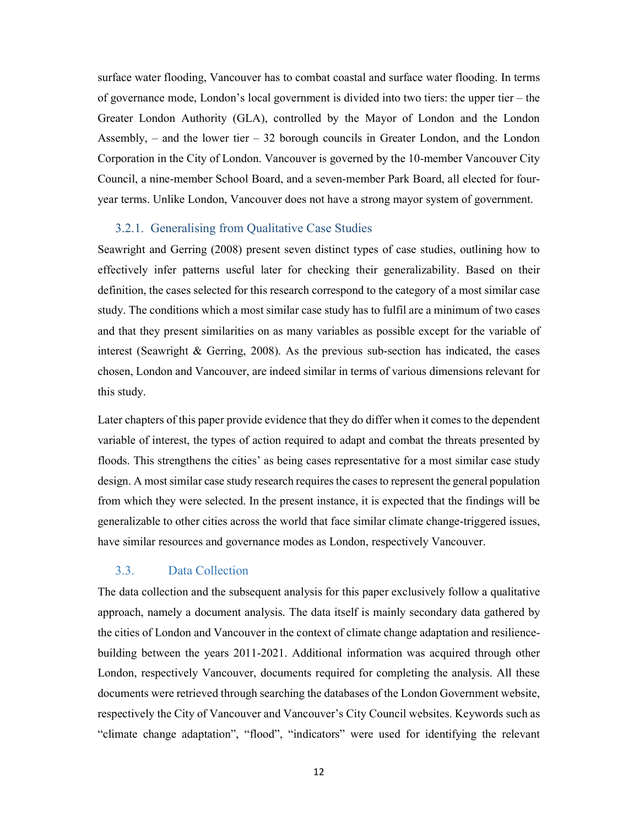surface water flooding, Vancouver has to combat coastal and surface water flooding. In terms of governance mode, London's local government is divided into two tiers: the upper tier – the Greater London Authority (GLA), controlled by the Mayor of London and the London Assembly,  $-$  and the lower tier  $-32$  borough councils in Greater London, and the London Corporation in the City of London. Vancouver is governed by the 10-member Vancouver City Council, a nine-member School Board, and a seven-member Park Board, all elected for fouryear terms. Unlike London, Vancouver does not have a strong mayor system of government.

#### 3.2.1. Generalising from Qualitative Case Studies

Seawright and Gerring (2008) present seven distinct types of case studies, outlining how to effectively infer patterns useful later for checking their generalizability. Based on their definition, the cases selected for this research correspond to the category of a most similar case study. The conditions which a most similar case study has to fulfil are a minimum of two cases and that they present similarities on as many variables as possible except for the variable of interest (Seawright & Gerring, 2008). As the previous sub-section has indicated, the cases chosen, London and Vancouver, are indeed similar in terms of various dimensions relevant for this study.

Later chapters of this paper provide evidence that they do differ when it comes to the dependent variable of interest, the types of action required to adapt and combat the threats presented by floods. This strengthens the cities' as being cases representative for a most similar case study design. A most similar case study research requires the cases to represent the general population from which they were selected. In the present instance, it is expected that the findings will be generalizable to other cities across the world that face similar climate change-triggered issues, have similar resources and governance modes as London, respectively Vancouver.

### 3.3. Data Collection

The data collection and the subsequent analysis for this paper exclusively follow a qualitative approach, namely a document analysis. The data itself is mainly secondary data gathered by the cities of London and Vancouver in the context of climate change adaptation and resiliencebuilding between the years 2011-2021. Additional information was acquired through other London, respectively Vancouver, documents required for completing the analysis. All these documents were retrieved through searching the databases of the London Government website, respectively the City of Vancouver and Vancouver's City Council websites. Keywords such as "climate change adaptation", "flood", "indicators" were used for identifying the relevant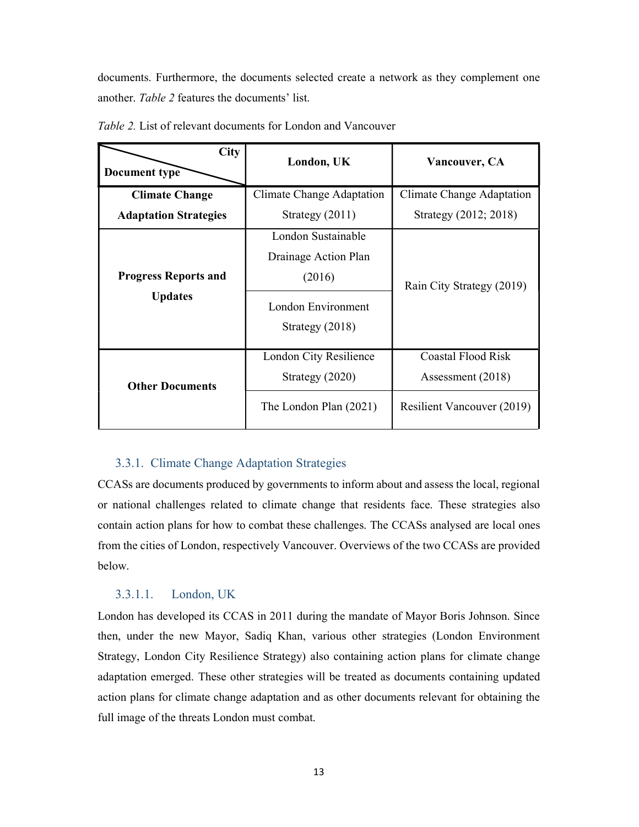documents. Furthermore, the documents selected create a network as they complement one another. Table 2 features the documents' list.

| <b>City</b><br>Document type                  | London, UK                                                                                      | Vancouver, CA                                                                |
|-----------------------------------------------|-------------------------------------------------------------------------------------------------|------------------------------------------------------------------------------|
| <b>Climate Change</b>                         | Climate Change Adaptation                                                                       | Climate Change Adaptation                                                    |
| <b>Adaptation Strategies</b>                  | Strategy $(2011)$                                                                               | Strategy (2012; 2018)                                                        |
| <b>Progress Reports and</b><br><b>Updates</b> | London Sustainable<br>Drainage Action Plan<br>(2016)<br>London Environment<br>Strategy $(2018)$ | Rain City Strategy (2019)                                                    |
| <b>Other Documents</b>                        | London City Resilience<br>Strategy $(2020)$<br>The London Plan (2021)                           | Coastal Flood Risk<br>Assessment (2018)<br><b>Resilient Vancouver (2019)</b> |

Table 2. List of relevant documents for London and Vancouver

#### 3.3.1. Climate Change Adaptation Strategies

CCASs are documents produced by governments to inform about and assess the local, regional or national challenges related to climate change that residents face. These strategies also contain action plans for how to combat these challenges. The CCASs analysed are local ones from the cities of London, respectively Vancouver. Overviews of the two CCASs are provided below.

#### 3.3.1.1. London, UK

London has developed its CCAS in 2011 during the mandate of Mayor Boris Johnson. Since then, under the new Mayor, Sadiq Khan, various other strategies (London Environment Strategy, London City Resilience Strategy) also containing action plans for climate change adaptation emerged. These other strategies will be treated as documents containing updated action plans for climate change adaptation and as other documents relevant for obtaining the full image of the threats London must combat.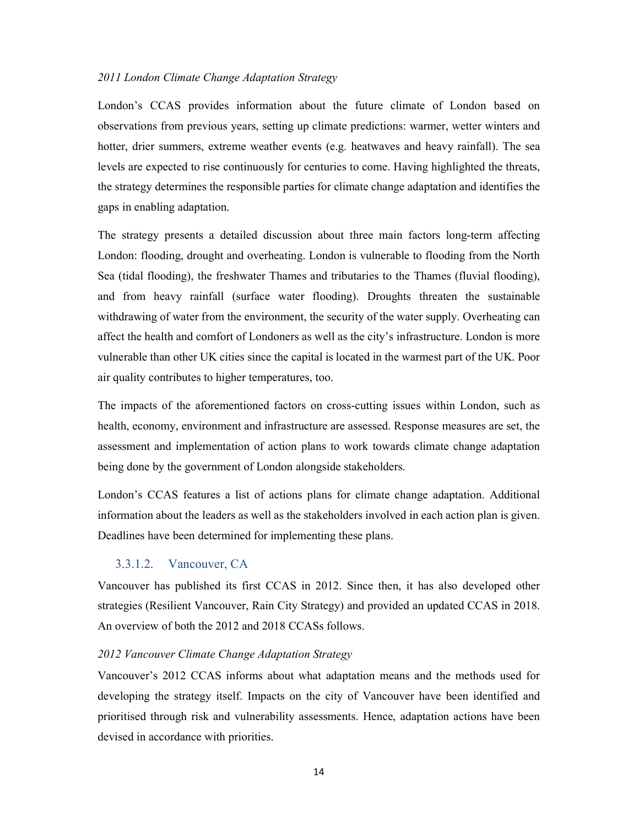#### 2011 London Climate Change Adaptation Strategy

London's CCAS provides information about the future climate of London based on observations from previous years, setting up climate predictions: warmer, wetter winters and hotter, drier summers, extreme weather events (e.g. heatwaves and heavy rainfall). The sea levels are expected to rise continuously for centuries to come. Having highlighted the threats, the strategy determines the responsible parties for climate change adaptation and identifies the gaps in enabling adaptation.

The strategy presents a detailed discussion about three main factors long-term affecting London: flooding, drought and overheating. London is vulnerable to flooding from the North Sea (tidal flooding), the freshwater Thames and tributaries to the Thames (fluvial flooding), and from heavy rainfall (surface water flooding). Droughts threaten the sustainable withdrawing of water from the environment, the security of the water supply. Overheating can affect the health and comfort of Londoners as well as the city's infrastructure. London is more vulnerable than other UK cities since the capital is located in the warmest part of the UK. Poor air quality contributes to higher temperatures, too.

The impacts of the aforementioned factors on cross-cutting issues within London, such as health, economy, environment and infrastructure are assessed. Response measures are set, the assessment and implementation of action plans to work towards climate change adaptation being done by the government of London alongside stakeholders.

London's CCAS features a list of actions plans for climate change adaptation. Additional information about the leaders as well as the stakeholders involved in each action plan is given. Deadlines have been determined for implementing these plans.

#### 3.3.1.2. Vancouver, CA

Vancouver has published its first CCAS in 2012. Since then, it has also developed other strategies (Resilient Vancouver, Rain City Strategy) and provided an updated CCAS in 2018. An overview of both the 2012 and 2018 CCASs follows.

#### 2012 Vancouver Climate Change Adaptation Strategy

Vancouver's 2012 CCAS informs about what adaptation means and the methods used for developing the strategy itself. Impacts on the city of Vancouver have been identified and prioritised through risk and vulnerability assessments. Hence, adaptation actions have been devised in accordance with priorities.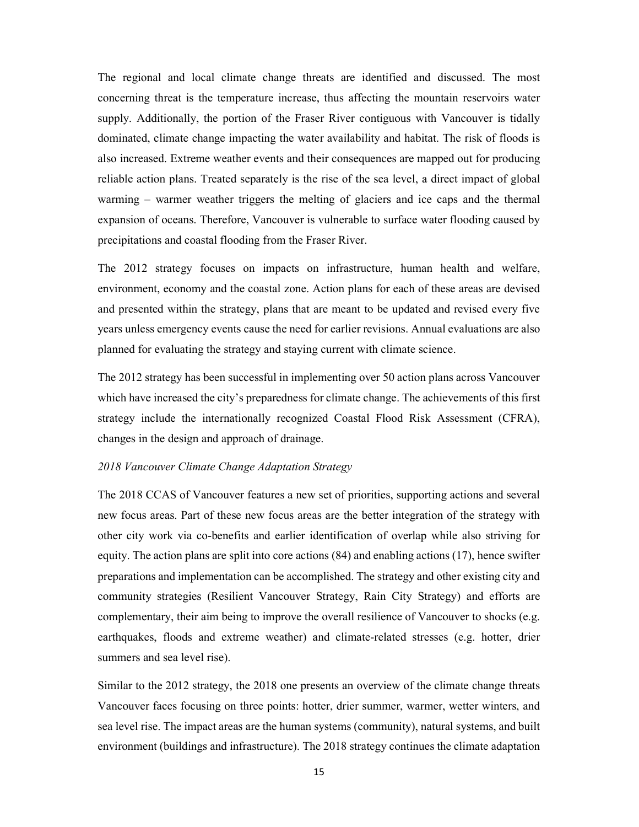The regional and local climate change threats are identified and discussed. The most concerning threat is the temperature increase, thus affecting the mountain reservoirs water supply. Additionally, the portion of the Fraser River contiguous with Vancouver is tidally dominated, climate change impacting the water availability and habitat. The risk of floods is also increased. Extreme weather events and their consequences are mapped out for producing reliable action plans. Treated separately is the rise of the sea level, a direct impact of global warming – warmer weather triggers the melting of glaciers and ice caps and the thermal expansion of oceans. Therefore, Vancouver is vulnerable to surface water flooding caused by precipitations and coastal flooding from the Fraser River.

The 2012 strategy focuses on impacts on infrastructure, human health and welfare, environment, economy and the coastal zone. Action plans for each of these areas are devised and presented within the strategy, plans that are meant to be updated and revised every five years unless emergency events cause the need for earlier revisions. Annual evaluations are also planned for evaluating the strategy and staying current with climate science.

The 2012 strategy has been successful in implementing over 50 action plans across Vancouver which have increased the city's preparedness for climate change. The achievements of this first strategy include the internationally recognized Coastal Flood Risk Assessment (CFRA), changes in the design and approach of drainage.

#### 2018 Vancouver Climate Change Adaptation Strategy

The 2018 CCAS of Vancouver features a new set of priorities, supporting actions and several new focus areas. Part of these new focus areas are the better integration of the strategy with other city work via co-benefits and earlier identification of overlap while also striving for equity. The action plans are split into core actions (84) and enabling actions (17), hence swifter preparations and implementation can be accomplished. The strategy and other existing city and community strategies (Resilient Vancouver Strategy, Rain City Strategy) and efforts are complementary, their aim being to improve the overall resilience of Vancouver to shocks (e.g. earthquakes, floods and extreme weather) and climate-related stresses (e.g. hotter, drier summers and sea level rise).

Similar to the 2012 strategy, the 2018 one presents an overview of the climate change threats Vancouver faces focusing on three points: hotter, drier summer, warmer, wetter winters, and sea level rise. The impact areas are the human systems (community), natural systems, and built environment (buildings and infrastructure). The 2018 strategy continues the climate adaptation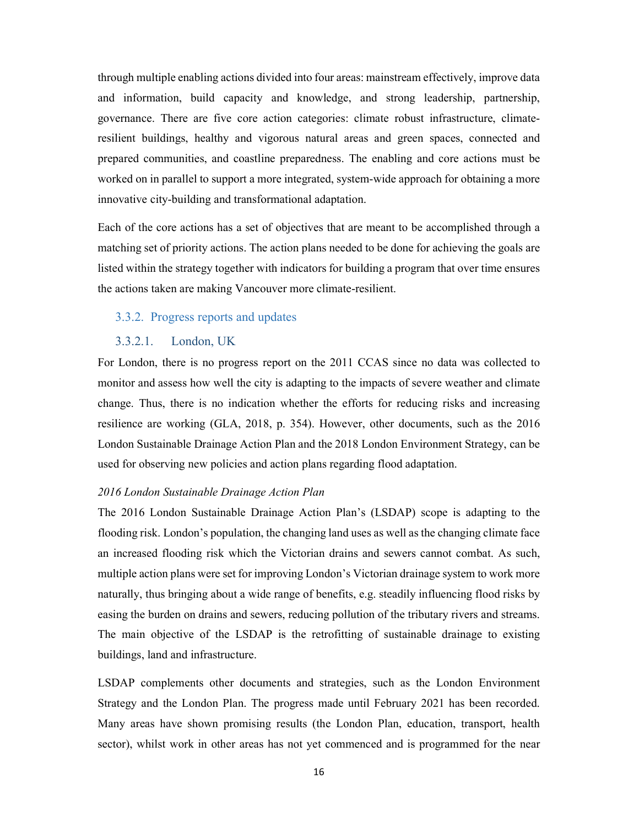through multiple enabling actions divided into four areas: mainstream effectively, improve data and information, build capacity and knowledge, and strong leadership, partnership, governance. There are five core action categories: climate robust infrastructure, climateresilient buildings, healthy and vigorous natural areas and green spaces, connected and prepared communities, and coastline preparedness. The enabling and core actions must be worked on in parallel to support a more integrated, system-wide approach for obtaining a more innovative city-building and transformational adaptation.

Each of the core actions has a set of objectives that are meant to be accomplished through a matching set of priority actions. The action plans needed to be done for achieving the goals are listed within the strategy together with indicators for building a program that over time ensures the actions taken are making Vancouver more climate-resilient.

#### 3.3.2. Progress reports and updates

#### 3.3.2.1. London, UK

For London, there is no progress report on the 2011 CCAS since no data was collected to monitor and assess how well the city is adapting to the impacts of severe weather and climate change. Thus, there is no indication whether the efforts for reducing risks and increasing resilience are working (GLA, 2018, p. 354). However, other documents, such as the 2016 London Sustainable Drainage Action Plan and the 2018 London Environment Strategy, can be used for observing new policies and action plans regarding flood adaptation.

#### 2016 London Sustainable Drainage Action Plan

The 2016 London Sustainable Drainage Action Plan's (LSDAP) scope is adapting to the flooding risk. London's population, the changing land uses as well as the changing climate face an increased flooding risk which the Victorian drains and sewers cannot combat. As such, multiple action plans were set for improving London's Victorian drainage system to work more naturally, thus bringing about a wide range of benefits, e.g. steadily influencing flood risks by easing the burden on drains and sewers, reducing pollution of the tributary rivers and streams. The main objective of the LSDAP is the retrofitting of sustainable drainage to existing buildings, land and infrastructure.

LSDAP complements other documents and strategies, such as the London Environment Strategy and the London Plan. The progress made until February 2021 has been recorded. Many areas have shown promising results (the London Plan, education, transport, health sector), whilst work in other areas has not yet commenced and is programmed for the near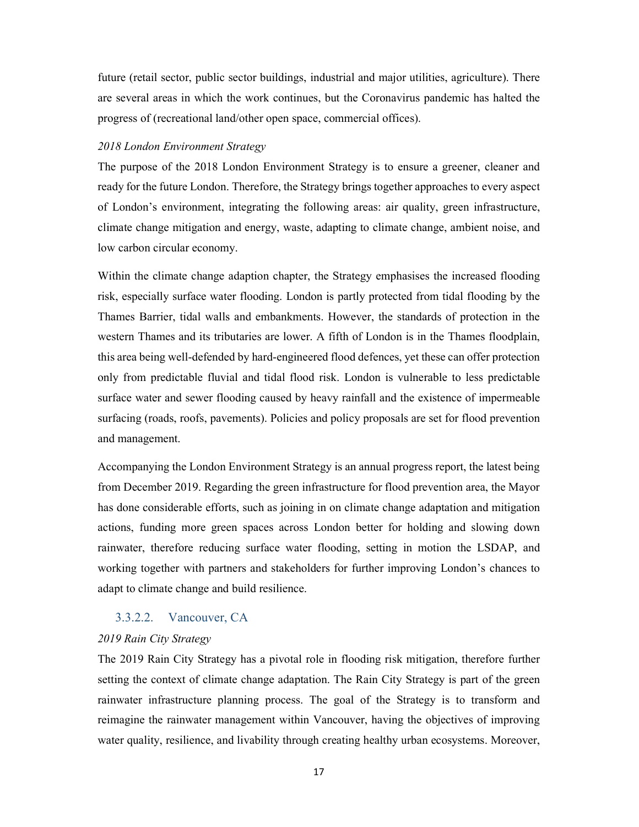future (retail sector, public sector buildings, industrial and major utilities, agriculture). There are several areas in which the work continues, but the Coronavirus pandemic has halted the progress of (recreational land/other open space, commercial offices).

#### 2018 London Environment Strategy

The purpose of the 2018 London Environment Strategy is to ensure a greener, cleaner and ready for the future London. Therefore, the Strategy brings together approaches to every aspect of London's environment, integrating the following areas: air quality, green infrastructure, climate change mitigation and energy, waste, adapting to climate change, ambient noise, and low carbon circular economy.

Within the climate change adaption chapter, the Strategy emphasises the increased flooding risk, especially surface water flooding. London is partly protected from tidal flooding by the Thames Barrier, tidal walls and embankments. However, the standards of protection in the western Thames and its tributaries are lower. A fifth of London is in the Thames floodplain, this area being well-defended by hard-engineered flood defences, yet these can offer protection only from predictable fluvial and tidal flood risk. London is vulnerable to less predictable surface water and sewer flooding caused by heavy rainfall and the existence of impermeable surfacing (roads, roofs, pavements). Policies and policy proposals are set for flood prevention and management.

Accompanying the London Environment Strategy is an annual progress report, the latest being from December 2019. Regarding the green infrastructure for flood prevention area, the Mayor has done considerable efforts, such as joining in on climate change adaptation and mitigation actions, funding more green spaces across London better for holding and slowing down rainwater, therefore reducing surface water flooding, setting in motion the LSDAP, and working together with partners and stakeholders for further improving London's chances to adapt to climate change and build resilience.

#### 3.3.2.2. Vancouver, CA

#### 2019 Rain City Strategy

The 2019 Rain City Strategy has a pivotal role in flooding risk mitigation, therefore further setting the context of climate change adaptation. The Rain City Strategy is part of the green rainwater infrastructure planning process. The goal of the Strategy is to transform and reimagine the rainwater management within Vancouver, having the objectives of improving water quality, resilience, and livability through creating healthy urban ecosystems. Moreover,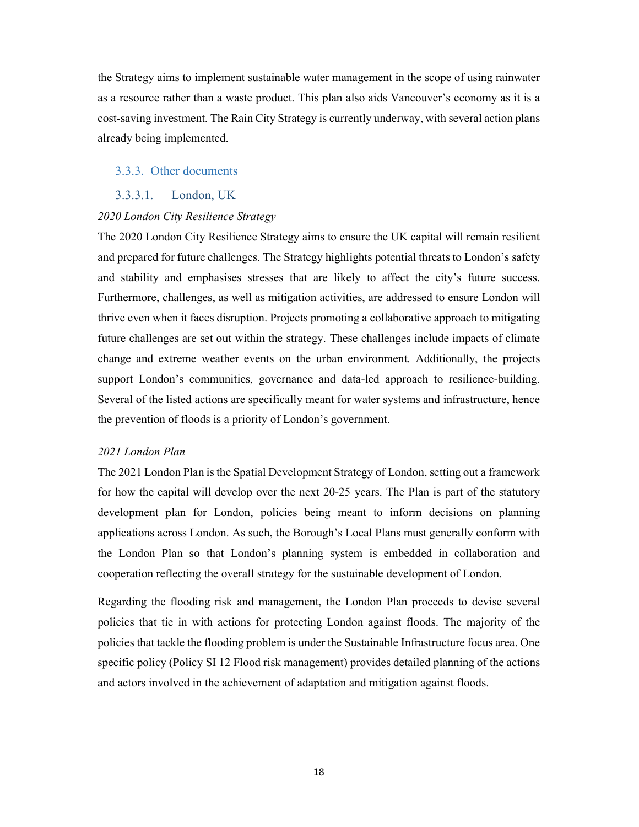the Strategy aims to implement sustainable water management in the scope of using rainwater as a resource rather than a waste product. This plan also aids Vancouver's economy as it is a cost-saving investment. The Rain City Strategy is currently underway, with several action plans already being implemented.

#### 3.3.3. Other documents

#### 3.3.3.1. London, UK

#### 2020 London City Resilience Strategy

The 2020 London City Resilience Strategy aims to ensure the UK capital will remain resilient and prepared for future challenges. The Strategy highlights potential threats to London's safety and stability and emphasises stresses that are likely to affect the city's future success. Furthermore, challenges, as well as mitigation activities, are addressed to ensure London will thrive even when it faces disruption. Projects promoting a collaborative approach to mitigating future challenges are set out within the strategy. These challenges include impacts of climate change and extreme weather events on the urban environment. Additionally, the projects support London's communities, governance and data-led approach to resilience-building. Several of the listed actions are specifically meant for water systems and infrastructure, hence the prevention of floods is a priority of London's government.

#### 2021 London Plan

The 2021 London Plan is the Spatial Development Strategy of London, setting out a framework for how the capital will develop over the next 20-25 years. The Plan is part of the statutory development plan for London, policies being meant to inform decisions on planning applications across London. As such, the Borough's Local Plans must generally conform with the London Plan so that London's planning system is embedded in collaboration and cooperation reflecting the overall strategy for the sustainable development of London.

Regarding the flooding risk and management, the London Plan proceeds to devise several policies that tie in with actions for protecting London against floods. The majority of the policies that tackle the flooding problem is under the Sustainable Infrastructure focus area. One specific policy (Policy SI 12 Flood risk management) provides detailed planning of the actions and actors involved in the achievement of adaptation and mitigation against floods.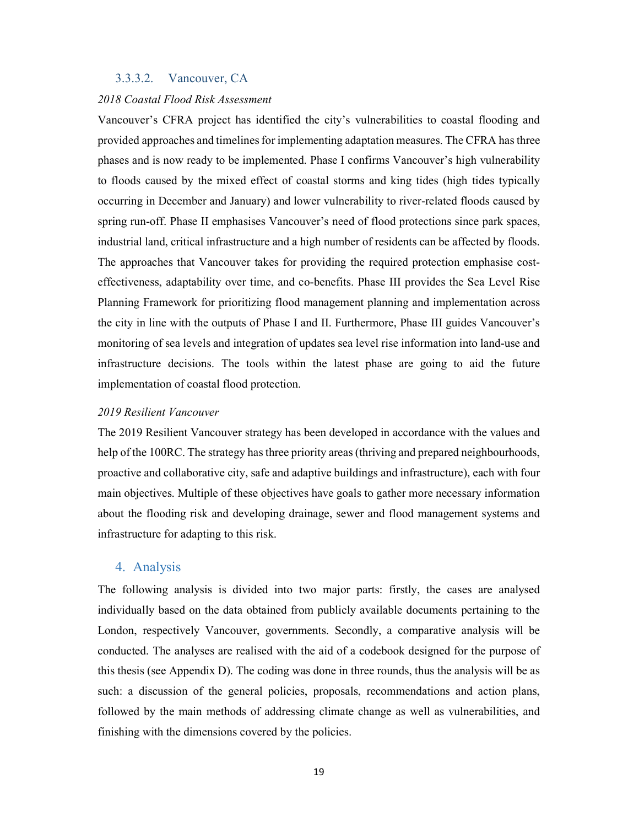#### 3.3.3.2. Vancouver, CA

#### 2018 Coastal Flood Risk Assessment

Vancouver's CFRA project has identified the city's vulnerabilities to coastal flooding and provided approaches and timelines for implementing adaptation measures. The CFRA has three phases and is now ready to be implemented. Phase I confirms Vancouver's high vulnerability to floods caused by the mixed effect of coastal storms and king tides (high tides typically occurring in December and January) and lower vulnerability to river-related floods caused by spring run-off. Phase II emphasises Vancouver's need of flood protections since park spaces, industrial land, critical infrastructure and a high number of residents can be affected by floods. The approaches that Vancouver takes for providing the required protection emphasise costeffectiveness, adaptability over time, and co-benefits. Phase III provides the Sea Level Rise Planning Framework for prioritizing flood management planning and implementation across the city in line with the outputs of Phase I and II. Furthermore, Phase III guides Vancouver's monitoring of sea levels and integration of updates sea level rise information into land-use and infrastructure decisions. The tools within the latest phase are going to aid the future implementation of coastal flood protection.

#### 2019 Resilient Vancouver

The 2019 Resilient Vancouver strategy has been developed in accordance with the values and help of the 100RC. The strategy has three priority areas (thriving and prepared neighbourhoods, proactive and collaborative city, safe and adaptive buildings and infrastructure), each with four main objectives. Multiple of these objectives have goals to gather more necessary information about the flooding risk and developing drainage, sewer and flood management systems and infrastructure for adapting to this risk.

#### 4. Analysis

The following analysis is divided into two major parts: firstly, the cases are analysed individually based on the data obtained from publicly available documents pertaining to the London, respectively Vancouver, governments. Secondly, a comparative analysis will be conducted. The analyses are realised with the aid of a codebook designed for the purpose of this thesis (see Appendix D). The coding was done in three rounds, thus the analysis will be as such: a discussion of the general policies, proposals, recommendations and action plans, followed by the main methods of addressing climate change as well as vulnerabilities, and finishing with the dimensions covered by the policies.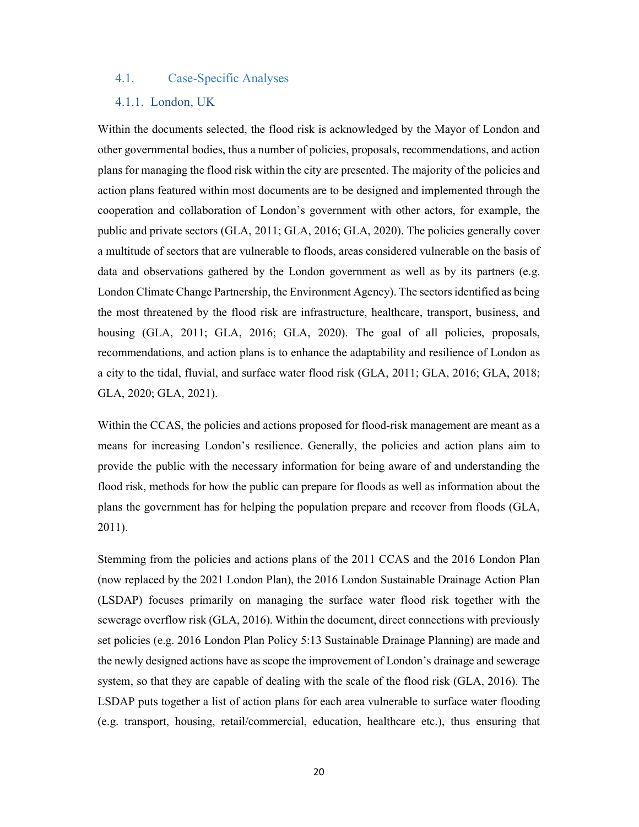#### 4.1. Case-Specific Analyses

#### 4.1.1. London, UK

Within the documents selected, the flood risk is acknowledged by the Mayor of London and other governmental bodies, thus a number of policies, proposals, recommendations, and action plans for managing the flood risk within the city are presented. The majority of the policies and action plans featured within most documents are to be designed and implemented through the cooperation and collaboration of London's government with other actors, for example, the public and private sectors (GLA, 2011; GLA, 2016; GLA, 2020). The policies generally cover a multitude of sectors that are vulnerable to floods, areas considered vulnerable on the basis of data and observations gathered by the London government as well as by its partners (e.g. London Climate Change Partnership, the Environment Agency). The sectors identified as being the most threatened by the flood risk are infrastructure, healthcare, transport, business, and housing (GLA, 2011; GLA, 2016; GLA, 2020). The goal of all policies, proposals, recommendations, and action plans is to enhance the adaptability and resilience of London as a city to the tidal, fluvial, and surface water flood risk (GLA, 2011; GLA, 2016; GLA, 2018; GLA, 2020; GLA, 2021).

Within the CCAS, the policies and actions proposed for flood-risk management are meant as a means for increasing London's resilience. Generally, the policies and action plans aim to provide the public with the necessary information for being aware of and understanding the flood risk, methods for how the public can prepare for floods as well as information about the plans the government has for helping the population prepare and recover from floods (GLA, 2011).

Stemming from the policies and actions plans of the 2011 CCAS and the 2016 London Plan (now replaced by the 2021 London Plan), the 2016 London Sustainable Drainage Action Plan (LSDAP) focuses primarily on managing the surface water flood risk together with the sewerage overflow risk (GLA, 2016). Within the document, direct connections with previously set policies (e.g. 2016 London Plan Policy 5:13 Sustainable Drainage Planning) are made and the newly designed actions have as scope the improvement of London's drainage and sewerage system, so that they are capable of dealing with the scale of the flood risk (GLA, 2016). The LSDAP puts together a list of action plans for each area vulnerable to surface water flooding (e.g. transport, housing, retail/commercial, education, healthcare etc.), thus ensuring that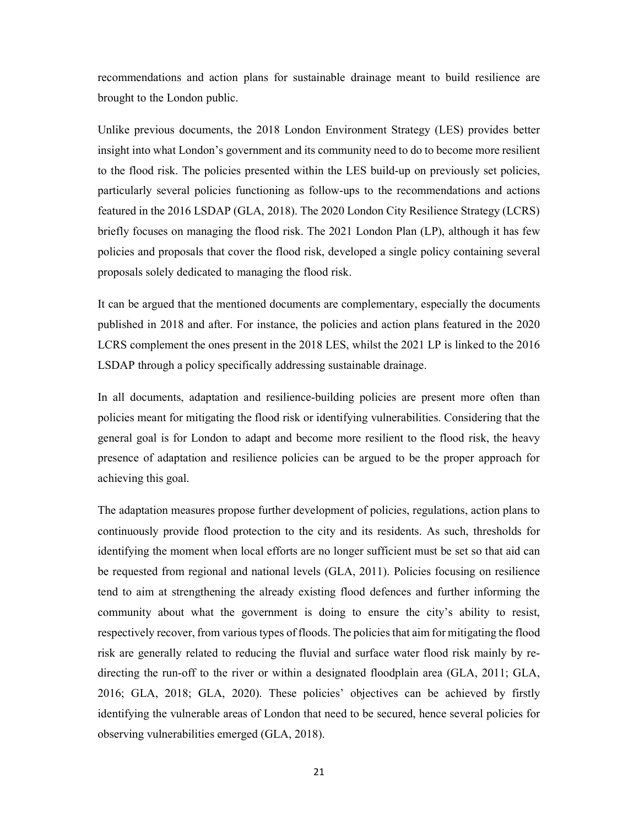recommendations and action plans for sustainable drainage meant to build resilience are brought to the London public.

Unlike previous documents, the 2018 London Environment Strategy (LES) provides better insight into what London's government and its community need to do to become more resilient to the flood risk. The policies presented within the LES build-up on previously set policies, particularly several policies functioning as follow-ups to the recommendations and actions featured in the 2016 LSDAP (GLA, 2018). The 2020 London City Resilience Strategy (LCRS) briefly focuses on managing the flood risk. The 2021 London Plan (LP), although it has few policies and proposals that cover the flood risk, developed a single policy containing several proposals solely dedicated to managing the flood risk.

It can be argued that the mentioned documents are complementary, especially the documents published in 2018 and after. For instance, the policies and action plans featured in the 2020 LCRS complement the ones present in the 2018 LES, whilst the 2021 LP is linked to the 2016 LSDAP through a policy specifically addressing sustainable drainage.

In all documents, adaptation and resilience-building policies are present more often than policies meant for mitigating the flood risk or identifying vulnerabilities. Considering that the general goal is for London to adapt and become more resilient to the flood risk, the heavy presence of adaptation and resilience policies can be argued to be the proper approach for achieving this goal.

The adaptation measures propose further development of policies, regulations, action plans to continuously provide flood protection to the city and its residents. As such, thresholds for identifying the moment when local efforts are no longer sufficient must be set so that aid can be requested from regional and national levels (GLA, 2011). Policies focusing on resilience tend to aim at strengthening the already existing flood defences and further informing the community about what the government is doing to ensure the city's ability to resist, respectively recover, from various types of floods. The policies that aim for mitigating the flood risk are generally related to reducing the fluvial and surface water flood risk mainly by redirecting the run-off to the river or within a designated floodplain area (GLA, 2011; GLA, 2016; GLA, 2018; GLA, 2020). These policies' objectives can be achieved by firstly identifying the vulnerable areas of London that need to be secured, hence several policies for observing vulnerabilities emerged (GLA, 2018).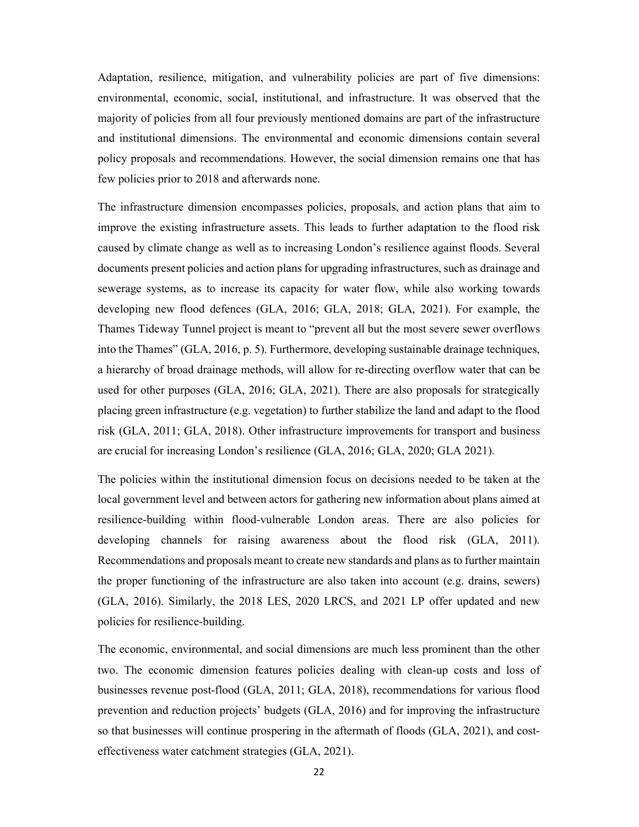Adaptation, resilience, mitigation, and vulnerability policies are part of five dimensions: environmental, economic, social, institutional, and infrastructure. It was observed that the majority of policies from all four previously mentioned domains are part of the infrastructure and institutional dimensions. The environmental and economic dimensions contain several policy proposals and recommendations. However, the social dimension remains one that has few policies prior to 2018 and afterwards none.

The infrastructure dimension encompasses policies, proposals, and action plans that aim to improve the existing infrastructure assets. This leads to further adaptation to the flood risk caused by climate change as well as to increasing London's resilience against floods. Several documents present policies and action plans for upgrading infrastructures, such as drainage and sewerage systems, as to increase its capacity for water flow, while also working towards developing new flood defences (GLA, 2016; GLA, 2018; GLA, 2021). For example, the Thames Tideway Tunnel project is meant to "prevent all but the most severe sewer overflows into the Thames" (GLA, 2016, p. 5). Furthermore, developing sustainable drainage techniques, a hierarchy of broad drainage methods, will allow for re-directing overflow water that can be used for other purposes (GLA, 2016; GLA, 2021). There are also proposals for strategically placing green infrastructure (e.g. vegetation) to further stabilize the land and adapt to the flood risk (GLA, 2011; GLA, 2018). Other infrastructure improvements for transport and business are crucial for increasing London's resilience (GLA, 2016; GLA, 2020; GLA 2021).

The policies within the institutional dimension focus on decisions needed to be taken at the local government level and between actors for gathering new information about plans aimed at resilience-building within flood-vulnerable London areas. There are also policies for developing channels for raising awareness about the flood risk (GLA, 2011). Recommendations and proposals meant to create new standards and plans as to further maintain the proper functioning of the infrastructure are also taken into account (e.g. drains, sewers) (GLA, 2016). Similarly, the 2018 LES, 2020 LRCS, and 2021 LP offer updated and new policies for resilience-building.

The economic, environmental, and social dimensions are much less prominent than the other two. The economic dimension features policies dealing with clean-up costs and loss of businesses revenue post-flood (GLA, 2011; GLA, 2018), recommendations for various flood prevention and reduction projects' budgets (GLA, 2016) and for improving the infrastructure so that businesses will continue prospering in the aftermath of floods (GLA, 2021), and costeffectiveness water catchment strategies (GLA, 2021).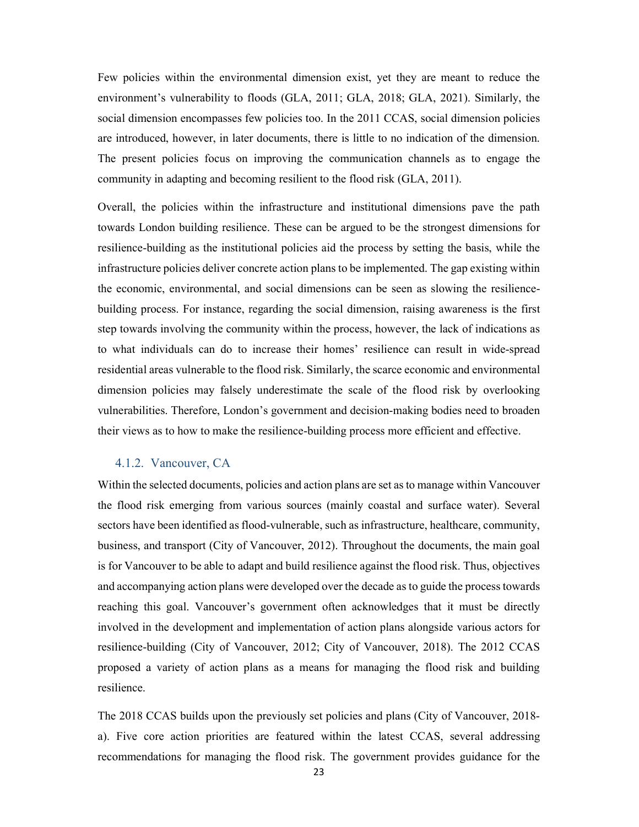Few policies within the environmental dimension exist, yet they are meant to reduce the environment's vulnerability to floods (GLA, 2011; GLA, 2018; GLA, 2021). Similarly, the social dimension encompasses few policies too. In the 2011 CCAS, social dimension policies are introduced, however, in later documents, there is little to no indication of the dimension. The present policies focus on improving the communication channels as to engage the community in adapting and becoming resilient to the flood risk (GLA, 2011).

Overall, the policies within the infrastructure and institutional dimensions pave the path towards London building resilience. These can be argued to be the strongest dimensions for resilience-building as the institutional policies aid the process by setting the basis, while the infrastructure policies deliver concrete action plans to be implemented. The gap existing within the economic, environmental, and social dimensions can be seen as slowing the resiliencebuilding process. For instance, regarding the social dimension, raising awareness is the first step towards involving the community within the process, however, the lack of indications as to what individuals can do to increase their homes' resilience can result in wide-spread residential areas vulnerable to the flood risk. Similarly, the scarce economic and environmental dimension policies may falsely underestimate the scale of the flood risk by overlooking vulnerabilities. Therefore, London's government and decision-making bodies need to broaden their views as to how to make the resilience-building process more efficient and effective.

#### 4.1.2. Vancouver, CA

Within the selected documents, policies and action plans are set as to manage within Vancouver the flood risk emerging from various sources (mainly coastal and surface water). Several sectors have been identified as flood-vulnerable, such as infrastructure, healthcare, community, business, and transport (City of Vancouver, 2012). Throughout the documents, the main goal is for Vancouver to be able to adapt and build resilience against the flood risk. Thus, objectives and accompanying action plans were developed over the decade as to guide the process towards reaching this goal. Vancouver's government often acknowledges that it must be directly involved in the development and implementation of action plans alongside various actors for resilience-building (City of Vancouver, 2012; City of Vancouver, 2018). The 2012 CCAS proposed a variety of action plans as a means for managing the flood risk and building resilience.

The 2018 CCAS builds upon the previously set policies and plans (City of Vancouver, 2018 a). Five core action priorities are featured within the latest CCAS, several addressing recommendations for managing the flood risk. The government provides guidance for the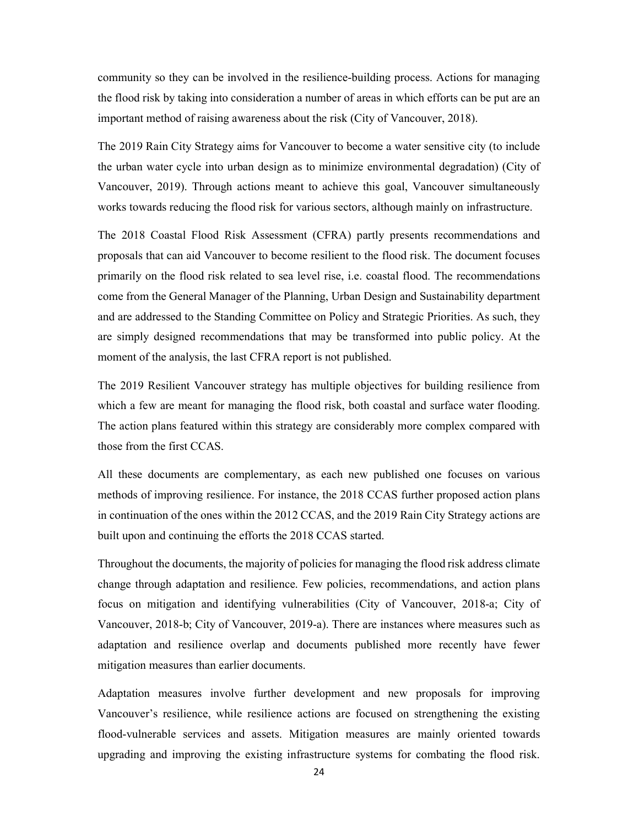community so they can be involved in the resilience-building process. Actions for managing the flood risk by taking into consideration a number of areas in which efforts can be put are an important method of raising awareness about the risk (City of Vancouver, 2018).

The 2019 Rain City Strategy aims for Vancouver to become a water sensitive city (to include the urban water cycle into urban design as to minimize environmental degradation) (City of Vancouver, 2019). Through actions meant to achieve this goal, Vancouver simultaneously works towards reducing the flood risk for various sectors, although mainly on infrastructure.

The 2018 Coastal Flood Risk Assessment (CFRA) partly presents recommendations and proposals that can aid Vancouver to become resilient to the flood risk. The document focuses primarily on the flood risk related to sea level rise, i.e. coastal flood. The recommendations come from the General Manager of the Planning, Urban Design and Sustainability department and are addressed to the Standing Committee on Policy and Strategic Priorities. As such, they are simply designed recommendations that may be transformed into public policy. At the moment of the analysis, the last CFRA report is not published.

The 2019 Resilient Vancouver strategy has multiple objectives for building resilience from which a few are meant for managing the flood risk, both coastal and surface water flooding. The action plans featured within this strategy are considerably more complex compared with those from the first CCAS.

All these documents are complementary, as each new published one focuses on various methods of improving resilience. For instance, the 2018 CCAS further proposed action plans in continuation of the ones within the 2012 CCAS, and the 2019 Rain City Strategy actions are built upon and continuing the efforts the 2018 CCAS started.

Throughout the documents, the majority of policies for managing the flood risk address climate change through adaptation and resilience. Few policies, recommendations, and action plans focus on mitigation and identifying vulnerabilities (City of Vancouver, 2018-a; City of Vancouver, 2018-b; City of Vancouver, 2019-a). There are instances where measures such as adaptation and resilience overlap and documents published more recently have fewer mitigation measures than earlier documents.

Adaptation measures involve further development and new proposals for improving Vancouver's resilience, while resilience actions are focused on strengthening the existing flood-vulnerable services and assets. Mitigation measures are mainly oriented towards upgrading and improving the existing infrastructure systems for combating the flood risk.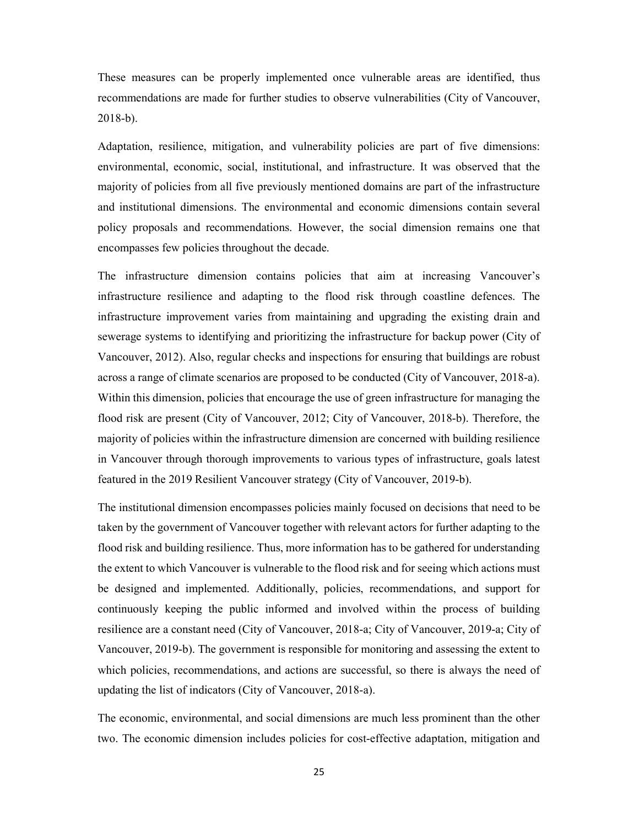These measures can be properly implemented once vulnerable areas are identified, thus recommendations are made for further studies to observe vulnerabilities (City of Vancouver, 2018-b).

Adaptation, resilience, mitigation, and vulnerability policies are part of five dimensions: environmental, economic, social, institutional, and infrastructure. It was observed that the majority of policies from all five previously mentioned domains are part of the infrastructure and institutional dimensions. The environmental and economic dimensions contain several policy proposals and recommendations. However, the social dimension remains one that encompasses few policies throughout the decade.

The infrastructure dimension contains policies that aim at increasing Vancouver's infrastructure resilience and adapting to the flood risk through coastline defences. The infrastructure improvement varies from maintaining and upgrading the existing drain and sewerage systems to identifying and prioritizing the infrastructure for backup power (City of Vancouver, 2012). Also, regular checks and inspections for ensuring that buildings are robust across a range of climate scenarios are proposed to be conducted (City of Vancouver, 2018-a). Within this dimension, policies that encourage the use of green infrastructure for managing the flood risk are present (City of Vancouver, 2012; City of Vancouver, 2018-b). Therefore, the majority of policies within the infrastructure dimension are concerned with building resilience in Vancouver through thorough improvements to various types of infrastructure, goals latest featured in the 2019 Resilient Vancouver strategy (City of Vancouver, 2019-b).

The institutional dimension encompasses policies mainly focused on decisions that need to be taken by the government of Vancouver together with relevant actors for further adapting to the flood risk and building resilience. Thus, more information has to be gathered for understanding the extent to which Vancouver is vulnerable to the flood risk and for seeing which actions must be designed and implemented. Additionally, policies, recommendations, and support for continuously keeping the public informed and involved within the process of building resilience are a constant need (City of Vancouver, 2018-a; City of Vancouver, 2019-a; City of Vancouver, 2019-b). The government is responsible for monitoring and assessing the extent to which policies, recommendations, and actions are successful, so there is always the need of updating the list of indicators (City of Vancouver, 2018-a).

The economic, environmental, and social dimensions are much less prominent than the other two. The economic dimension includes policies for cost-effective adaptation, mitigation and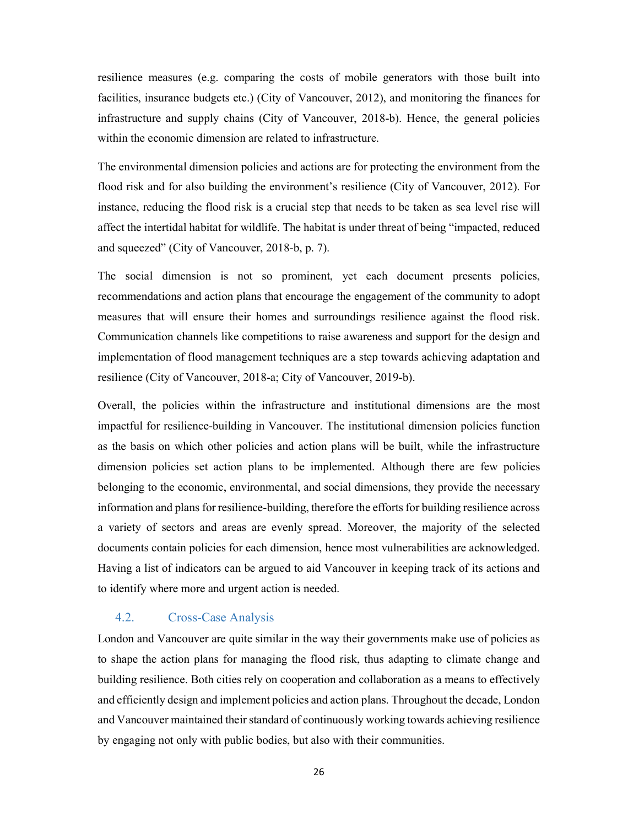resilience measures (e.g. comparing the costs of mobile generators with those built into facilities, insurance budgets etc.) (City of Vancouver, 2012), and monitoring the finances for infrastructure and supply chains (City of Vancouver, 2018-b). Hence, the general policies within the economic dimension are related to infrastructure.

The environmental dimension policies and actions are for protecting the environment from the flood risk and for also building the environment's resilience (City of Vancouver, 2012). For instance, reducing the flood risk is a crucial step that needs to be taken as sea level rise will affect the intertidal habitat for wildlife. The habitat is under threat of being "impacted, reduced and squeezed" (City of Vancouver, 2018-b, p. 7).

The social dimension is not so prominent, yet each document presents policies, recommendations and action plans that encourage the engagement of the community to adopt measures that will ensure their homes and surroundings resilience against the flood risk. Communication channels like competitions to raise awareness and support for the design and implementation of flood management techniques are a step towards achieving adaptation and resilience (City of Vancouver, 2018-a; City of Vancouver, 2019-b).

Overall, the policies within the infrastructure and institutional dimensions are the most impactful for resilience-building in Vancouver. The institutional dimension policies function as the basis on which other policies and action plans will be built, while the infrastructure dimension policies set action plans to be implemented. Although there are few policies belonging to the economic, environmental, and social dimensions, they provide the necessary information and plans for resilience-building, therefore the efforts for building resilience across a variety of sectors and areas are evenly spread. Moreover, the majority of the selected documents contain policies for each dimension, hence most vulnerabilities are acknowledged. Having a list of indicators can be argued to aid Vancouver in keeping track of its actions and to identify where more and urgent action is needed.

#### 4.2. Cross-Case Analysis

London and Vancouver are quite similar in the way their governments make use of policies as to shape the action plans for managing the flood risk, thus adapting to climate change and building resilience. Both cities rely on cooperation and collaboration as a means to effectively and efficiently design and implement policies and action plans. Throughout the decade, London and Vancouver maintained their standard of continuously working towards achieving resilience by engaging not only with public bodies, but also with their communities.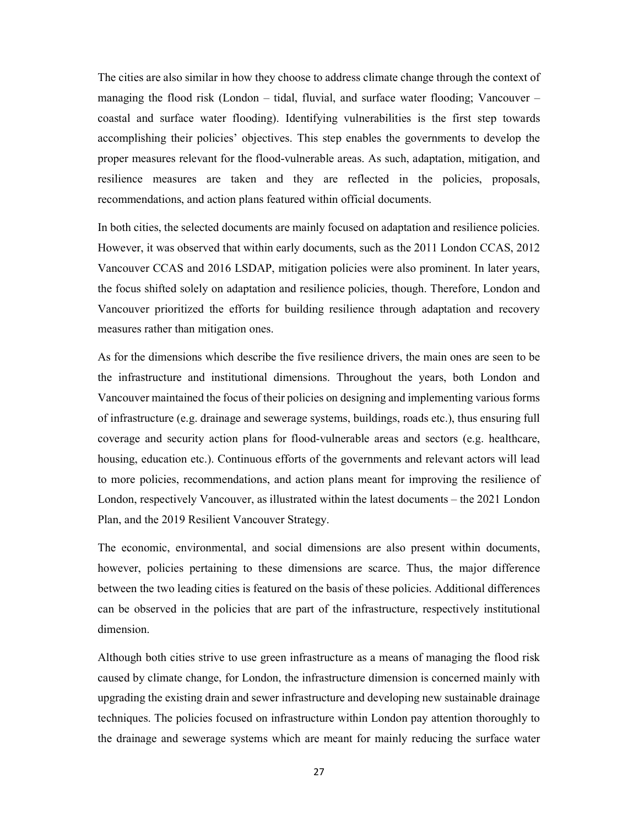The cities are also similar in how they choose to address climate change through the context of managing the flood risk (London – tidal, fluvial, and surface water flooding; Vancouver – coastal and surface water flooding). Identifying vulnerabilities is the first step towards accomplishing their policies' objectives. This step enables the governments to develop the proper measures relevant for the flood-vulnerable areas. As such, adaptation, mitigation, and resilience measures are taken and they are reflected in the policies, proposals, recommendations, and action plans featured within official documents.

In both cities, the selected documents are mainly focused on adaptation and resilience policies. However, it was observed that within early documents, such as the 2011 London CCAS, 2012 Vancouver CCAS and 2016 LSDAP, mitigation policies were also prominent. In later years, the focus shifted solely on adaptation and resilience policies, though. Therefore, London and Vancouver prioritized the efforts for building resilience through adaptation and recovery measures rather than mitigation ones.

As for the dimensions which describe the five resilience drivers, the main ones are seen to be the infrastructure and institutional dimensions. Throughout the years, both London and Vancouver maintained the focus of their policies on designing and implementing various forms of infrastructure (e.g. drainage and sewerage systems, buildings, roads etc.), thus ensuring full coverage and security action plans for flood-vulnerable areas and sectors (e.g. healthcare, housing, education etc.). Continuous efforts of the governments and relevant actors will lead to more policies, recommendations, and action plans meant for improving the resilience of London, respectively Vancouver, as illustrated within the latest documents – the 2021 London Plan, and the 2019 Resilient Vancouver Strategy.

The economic, environmental, and social dimensions are also present within documents, however, policies pertaining to these dimensions are scarce. Thus, the major difference between the two leading cities is featured on the basis of these policies. Additional differences can be observed in the policies that are part of the infrastructure, respectively institutional dimension.

Although both cities strive to use green infrastructure as a means of managing the flood risk caused by climate change, for London, the infrastructure dimension is concerned mainly with upgrading the existing drain and sewer infrastructure and developing new sustainable drainage techniques. The policies focused on infrastructure within London pay attention thoroughly to the drainage and sewerage systems which are meant for mainly reducing the surface water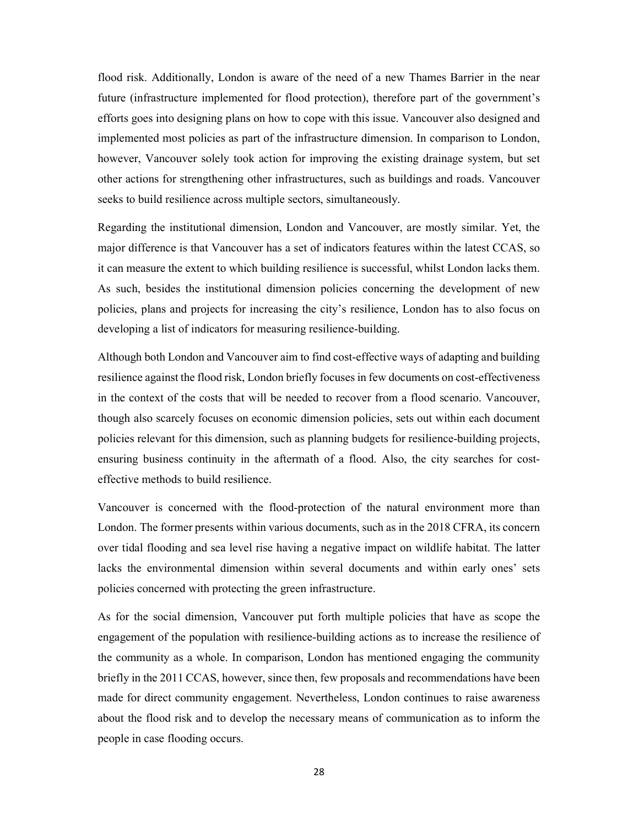flood risk. Additionally, London is aware of the need of a new Thames Barrier in the near future (infrastructure implemented for flood protection), therefore part of the government's efforts goes into designing plans on how to cope with this issue. Vancouver also designed and implemented most policies as part of the infrastructure dimension. In comparison to London, however, Vancouver solely took action for improving the existing drainage system, but set other actions for strengthening other infrastructures, such as buildings and roads. Vancouver seeks to build resilience across multiple sectors, simultaneously.

Regarding the institutional dimension, London and Vancouver, are mostly similar. Yet, the major difference is that Vancouver has a set of indicators features within the latest CCAS, so it can measure the extent to which building resilience is successful, whilst London lacks them. As such, besides the institutional dimension policies concerning the development of new policies, plans and projects for increasing the city's resilience, London has to also focus on developing a list of indicators for measuring resilience-building.

Although both London and Vancouver aim to find cost-effective ways of adapting and building resilience against the flood risk, London briefly focuses in few documents on cost-effectiveness in the context of the costs that will be needed to recover from a flood scenario. Vancouver, though also scarcely focuses on economic dimension policies, sets out within each document policies relevant for this dimension, such as planning budgets for resilience-building projects, ensuring business continuity in the aftermath of a flood. Also, the city searches for costeffective methods to build resilience.

Vancouver is concerned with the flood-protection of the natural environment more than London. The former presents within various documents, such as in the 2018 CFRA, its concern over tidal flooding and sea level rise having a negative impact on wildlife habitat. The latter lacks the environmental dimension within several documents and within early ones' sets policies concerned with protecting the green infrastructure.

As for the social dimension, Vancouver put forth multiple policies that have as scope the engagement of the population with resilience-building actions as to increase the resilience of the community as a whole. In comparison, London has mentioned engaging the community briefly in the 2011 CCAS, however, since then, few proposals and recommendations have been made for direct community engagement. Nevertheless, London continues to raise awareness about the flood risk and to develop the necessary means of communication as to inform the people in case flooding occurs.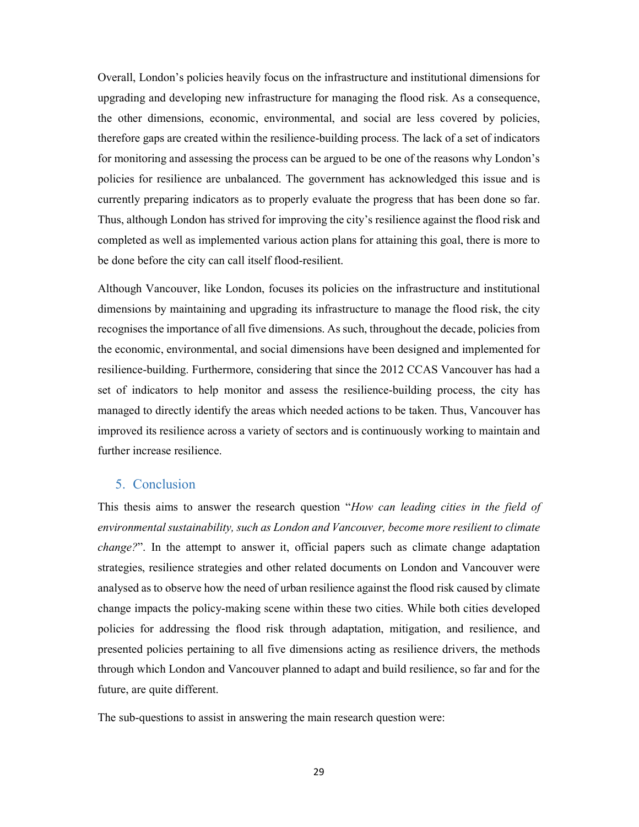Overall, London's policies heavily focus on the infrastructure and institutional dimensions for upgrading and developing new infrastructure for managing the flood risk. As a consequence, the other dimensions, economic, environmental, and social are less covered by policies, therefore gaps are created within the resilience-building process. The lack of a set of indicators for monitoring and assessing the process can be argued to be one of the reasons why London's policies for resilience are unbalanced. The government has acknowledged this issue and is currently preparing indicators as to properly evaluate the progress that has been done so far. Thus, although London has strived for improving the city's resilience against the flood risk and completed as well as implemented various action plans for attaining this goal, there is more to be done before the city can call itself flood-resilient.

Although Vancouver, like London, focuses its policies on the infrastructure and institutional dimensions by maintaining and upgrading its infrastructure to manage the flood risk, the city recognises the importance of all five dimensions. As such, throughout the decade, policies from the economic, environmental, and social dimensions have been designed and implemented for resilience-building. Furthermore, considering that since the 2012 CCAS Vancouver has had a set of indicators to help monitor and assess the resilience-building process, the city has managed to directly identify the areas which needed actions to be taken. Thus, Vancouver has improved its resilience across a variety of sectors and is continuously working to maintain and further increase resilience.

## 5. Conclusion

This thesis aims to answer the research question "How can leading cities in the field of environmental sustainability, such as London and Vancouver, become more resilient to climate change?". In the attempt to answer it, official papers such as climate change adaptation strategies, resilience strategies and other related documents on London and Vancouver were analysed as to observe how the need of urban resilience against the flood risk caused by climate change impacts the policy-making scene within these two cities. While both cities developed policies for addressing the flood risk through adaptation, mitigation, and resilience, and presented policies pertaining to all five dimensions acting as resilience drivers, the methods through which London and Vancouver planned to adapt and build resilience, so far and for the future, are quite different.

The sub-questions to assist in answering the main research question were: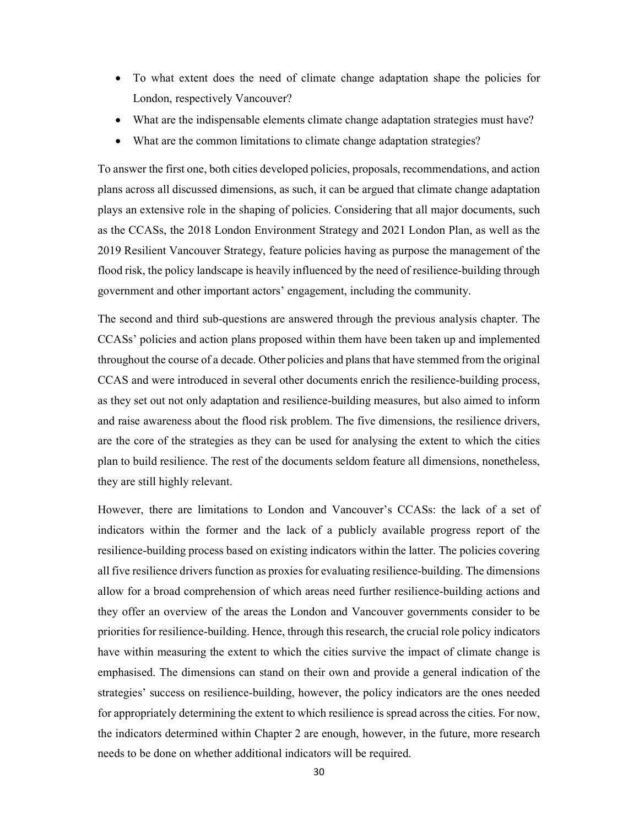- To what extent does the need of climate change adaptation shape the policies for London, respectively Vancouver?
- What are the indispensable elements climate change adaptation strategies must have?
- What are the common limitations to climate change adaptation strategies?

To answer the first one, both cities developed policies, proposals, recommendations, and action plans across all discussed dimensions, as such, it can be argued that climate change adaptation plays an extensive role in the shaping of policies. Considering that all major documents, such as the CCASs, the 2018 London Environment Strategy and 2021 London Plan, as well as the 2019 Resilient Vancouver Strategy, feature policies having as purpose the management of the flood risk, the policy landscape is heavily influenced by the need of resilience-building through government and other important actors' engagement, including the community.

The second and third sub-questions are answered through the previous analysis chapter. The CCASs' policies and action plans proposed within them have been taken up and implemented throughout the course of a decade. Other policies and plans that have stemmed from the original CCAS and were introduced in several other documents enrich the resilience-building process, as they set out not only adaptation and resilience-building measures, but also aimed to inform and raise awareness about the flood risk problem. The five dimensions, the resilience drivers, are the core of the strategies as they can be used for analysing the extent to which the cities plan to build resilience. The rest of the documents seldom feature all dimensions, nonetheless, they are still highly relevant.

However, there are limitations to London and Vancouver's CCASs: the lack of a set of indicators within the former and the lack of a publicly available progress report of the resilience-building process based on existing indicators within the latter. The policies covering all five resilience drivers function as proxies for evaluating resilience-building. The dimensions allow for a broad comprehension of which areas need further resilience-building actions and they offer an overview of the areas the London and Vancouver governments consider to be priorities for resilience-building. Hence, through this research, the crucial role policy indicators have within measuring the extent to which the cities survive the impact of climate change is emphasised. The dimensions can stand on their own and provide a general indication of the strategies' success on resilience-building, however, the policy indicators are the ones needed for appropriately determining the extent to which resilience is spread across the cities. For now, the indicators determined within Chapter 2 are enough, however, in the future, more research needs to be done on whether additional indicators will be required.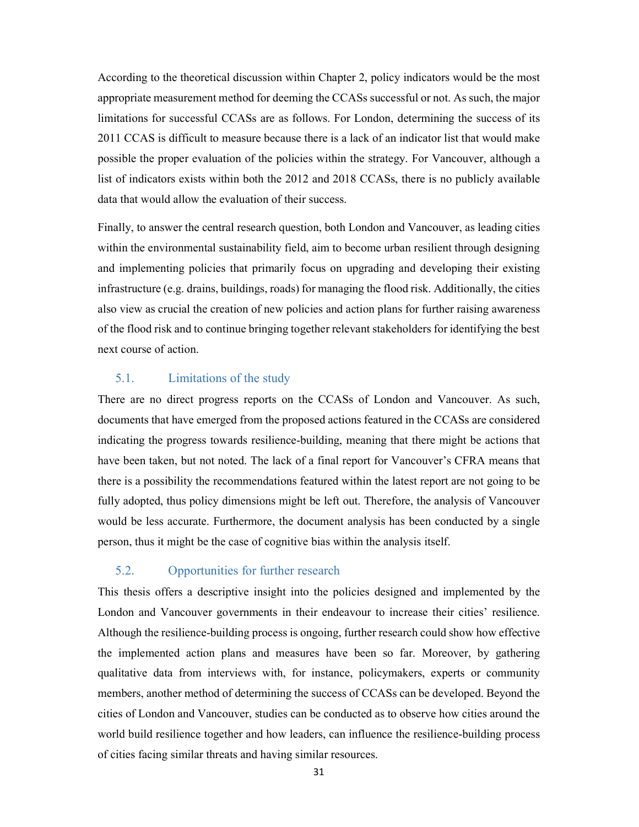According to the theoretical discussion within Chapter 2, policy indicators would be the most appropriate measurement method for deeming the CCASs successful or not. As such, the major limitations for successful CCASs are as follows. For London, determining the success of its 2011 CCAS is difficult to measure because there is a lack of an indicator list that would make possible the proper evaluation of the policies within the strategy. For Vancouver, although a list of indicators exists within both the 2012 and 2018 CCASs, there is no publicly available data that would allow the evaluation of their success.

Finally, to answer the central research question, both London and Vancouver, as leading cities within the environmental sustainability field, aim to become urban resilient through designing and implementing policies that primarily focus on upgrading and developing their existing infrastructure (e.g. drains, buildings, roads) for managing the flood risk. Additionally, the cities also view as crucial the creation of new policies and action plans for further raising awareness of the flood risk and to continue bringing together relevant stakeholders for identifying the best next course of action.

#### 5.1. Limitations of the study

There are no direct progress reports on the CCASs of London and Vancouver. As such, documents that have emerged from the proposed actions featured in the CCASs are considered indicating the progress towards resilience-building, meaning that there might be actions that have been taken, but not noted. The lack of a final report for Vancouver's CFRA means that there is a possibility the recommendations featured within the latest report are not going to be fully adopted, thus policy dimensions might be left out. Therefore, the analysis of Vancouver would be less accurate. Furthermore, the document analysis has been conducted by a single person, thus it might be the case of cognitive bias within the analysis itself.

### 5.2. Opportunities for further research

This thesis offers a descriptive insight into the policies designed and implemented by the London and Vancouver governments in their endeavour to increase their cities' resilience. Although the resilience-building process is ongoing, further research could show how effective the implemented action plans and measures have been so far. Moreover, by gathering qualitative data from interviews with, for instance, policymakers, experts or community members, another method of determining the success of CCASs can be developed. Beyond the cities of London and Vancouver, studies can be conducted as to observe how cities around the world build resilience together and how leaders, can influence the resilience-building process of cities facing similar threats and having similar resources.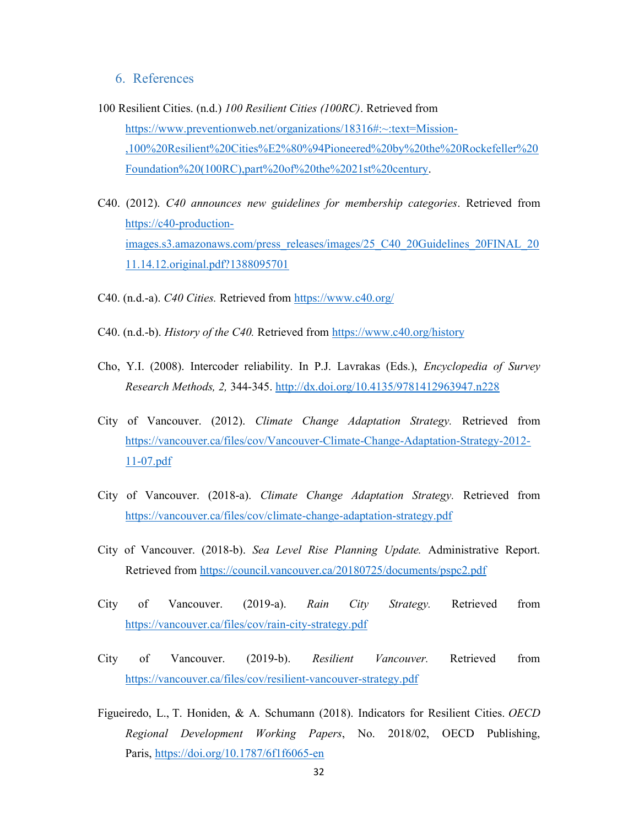## 6. References

- 100 Resilient Cities. (n.d.) 100 Resilient Cities (100RC). Retrieved from https://www.preventionweb.net/organizations/18316#:~:text=Mission-,100%20Resilient%20Cities%E2%80%94Pioneered%20by%20the%20Rockefeller%20 Foundation%20(100RC),part%20of%20the%2021st%20century.
- C40. (2012). C40 announces new guidelines for membership categories. Retrieved from https://c40-productionimages.s3.amazonaws.com/press\_releases/images/25\_C40\_20Guidelines\_20FINAL\_20 11.14.12.original.pdf?1388095701
- C40. (n.d.-a). C40 Cities. Retrieved from https://www.c40.org/
- C40. (n.d.-b). History of the C40. Retrieved from https://www.c40.org/history
- Cho, Y.I. (2008). Intercoder reliability. In P.J. Lavrakas (Eds.), Encyclopedia of Survey Research Methods, 2, 344-345. http://dx.doi.org/10.4135/9781412963947.n228
- City of Vancouver. (2012). Climate Change Adaptation Strategy. Retrieved from https://vancouver.ca/files/cov/Vancouver-Climate-Change-Adaptation-Strategy-2012- 11-07.pdf
- City of Vancouver. (2018-a). Climate Change Adaptation Strategy. Retrieved from https://vancouver.ca/files/cov/climate-change-adaptation-strategy.pdf
- City of Vancouver. (2018-b). Sea Level Rise Planning Update. Administrative Report. Retrieved from https://council.vancouver.ca/20180725/documents/pspc2.pdf
- City of Vancouver. (2019-a). Rain City Strategy. Retrieved from https://vancouver.ca/files/cov/rain-city-strategy.pdf
- City of Vancouver. (2019-b). Resilient Vancouver. Retrieved from https://vancouver.ca/files/cov/resilient-vancouver-strategy.pdf
- Figueiredo, L., T. Honiden, & A. Schumann (2018). Indicators for Resilient Cities. OECD Regional Development Working Papers, No. 2018/02, OECD Publishing, Paris, https://doi.org/10.1787/6f1f6065-en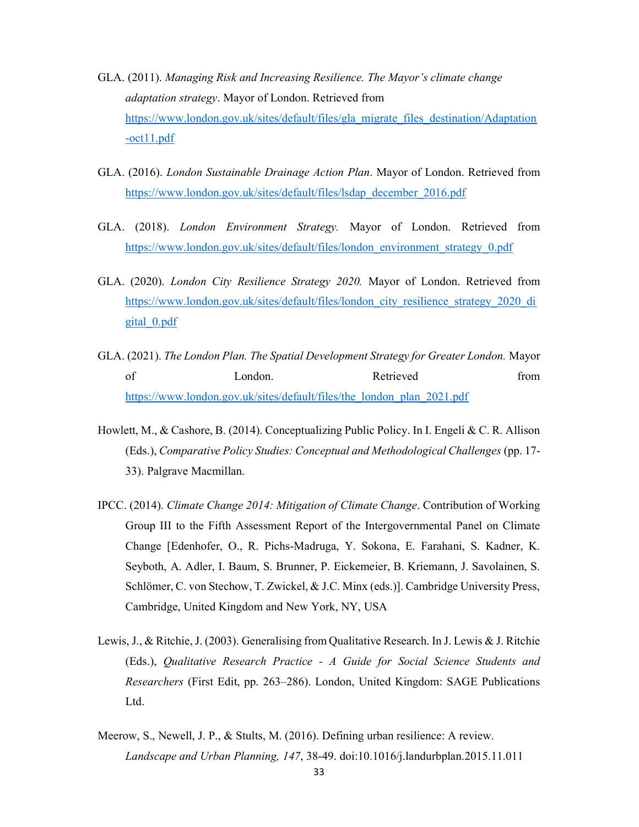- GLA. (2011). Managing Risk and Increasing Resilience. The Mayor's climate change adaptation strategy. Mayor of London. Retrieved from https://www.london.gov.uk/sites/default/files/gla\_migrate\_files\_destination/Adaptation -oct11.pdf
- GLA. (2016). London Sustainable Drainage Action Plan. Mayor of London. Retrieved from https://www.london.gov.uk/sites/default/files/lsdap\_december\_2016.pdf
- GLA. (2018). London Environment Strategy. Mayor of London. Retrieved from https://www.london.gov.uk/sites/default/files/london\_environment\_strategy\_0.pdf
- GLA. (2020). London City Resilience Strategy 2020. Mayor of London. Retrieved from https://www.london.gov.uk/sites/default/files/london\_city\_resilience\_strategy\_2020\_di gital\_0.pdf
- GLA. (2021). The London Plan. The Spatial Development Strategy for Greater London. Mayor of **London.** Condon. Retrieved from https://www.london.gov.uk/sites/default/files/the\_london\_plan\_2021.pdf
- Howlett, M., & Cashore, B. (2014). Conceptualizing Public Policy. In I. Engeli & C. R. Allison (Eds.), Comparative Policy Studies: Conceptual and Methodological Challenges (pp. 17- 33). Palgrave Macmillan.
- IPCC. (2014). Climate Change 2014: Mitigation of Climate Change. Contribution of Working Group III to the Fifth Assessment Report of the Intergovernmental Panel on Climate Change [Edenhofer, O., R. Pichs-Madruga, Y. Sokona, E. Farahani, S. Kadner, K. Seyboth, A. Adler, I. Baum, S. Brunner, P. Eickemeier, B. Kriemann, J. Savolainen, S. Schlömer, C. von Stechow, T. Zwickel, & J.C. Minx (eds.)]. Cambridge University Press, Cambridge, United Kingdom and New York, NY, USA
- Lewis, J., & Ritchie, J. (2003). Generalising from Qualitative Research. In J. Lewis & J. Ritchie (Eds.), Qualitative Research Practice - A Guide for Social Science Students and Researchers (First Edit, pp. 263–286). London, United Kingdom: SAGE Publications Ltd.
- Meerow, S., Newell, J. P., & Stults, M. (2016). Defining urban resilience: A review. Landscape and Urban Planning, 147, 38-49. doi:10.1016/j.landurbplan.2015.11.011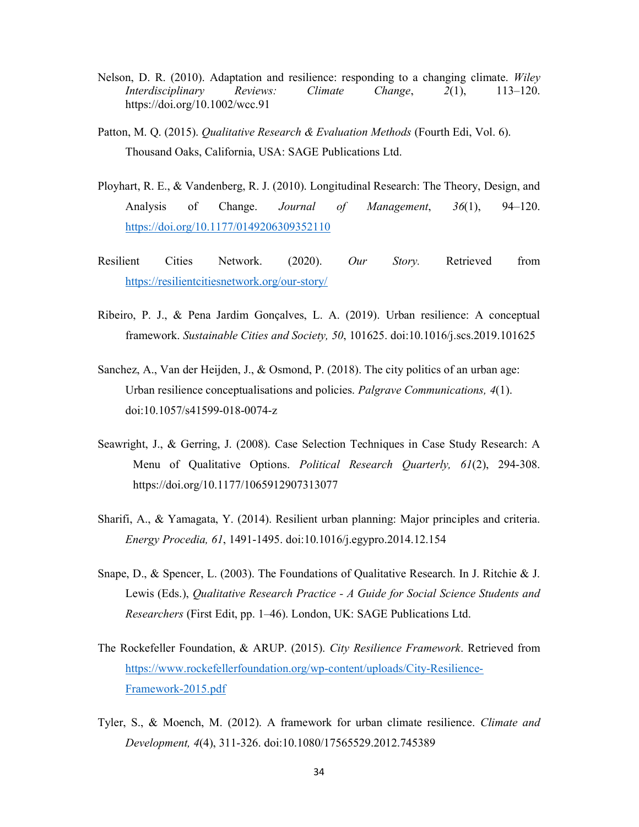- Nelson, D. R. (2010). Adaptation and resilience: responding to a changing climate. Wiley Interdisciplinary Reviews: Climate Change, 2(1), 113–120. https://doi.org/10.1002/wcc.91
- Patton, M. Q. (2015). *Qualitative Research & Evaluation Methods* (Fourth Edi, Vol. 6). Thousand Oaks, California, USA: SAGE Publications Ltd.
- Ployhart, R. E., & Vandenberg, R. J. (2010). Longitudinal Research: The Theory, Design, and Analysis of Change. *Journal of Management*, 36(1), 94–120. https://doi.org/10.1177/0149206309352110
- Resilient Cities Network. (2020). Our Story. Retrieved from https://resilientcitiesnetwork.org/our-story/
- Ribeiro, P. J., & Pena Jardim Gonçalves, L. A. (2019). Urban resilience: A conceptual framework. Sustainable Cities and Society, 50, 101625. doi:10.1016/j.scs.2019.101625
- Sanchez, A., Van der Heijden, J., & Osmond, P. (2018). The city politics of an urban age: Urban resilience conceptualisations and policies. Palgrave Communications, 4(1). doi:10.1057/s41599-018-0074-z
- Seawright, J., & Gerring, J. (2008). Case Selection Techniques in Case Study Research: A Menu of Qualitative Options. Political Research Quarterly, 61(2), 294-308. https://doi.org/10.1177/1065912907313077
- Sharifi, A., & Yamagata, Y. (2014). Resilient urban planning: Major principles and criteria. Energy Procedia, 61, 1491-1495. doi:10.1016/j.egypro.2014.12.154
- Snape, D., & Spencer, L. (2003). The Foundations of Qualitative Research. In J. Ritchie & J. Lewis (Eds.), Qualitative Research Practice - A Guide for Social Science Students and Researchers (First Edit, pp. 1–46). London, UK: SAGE Publications Ltd.
- The Rockefeller Foundation, & ARUP. (2015). City Resilience Framework. Retrieved from https://www.rockefellerfoundation.org/wp-content/uploads/City-Resilience-Framework-2015.pdf
- Tyler, S., & Moench, M. (2012). A framework for urban climate resilience. Climate and Development, 4(4), 311-326. doi:10.1080/17565529.2012.745389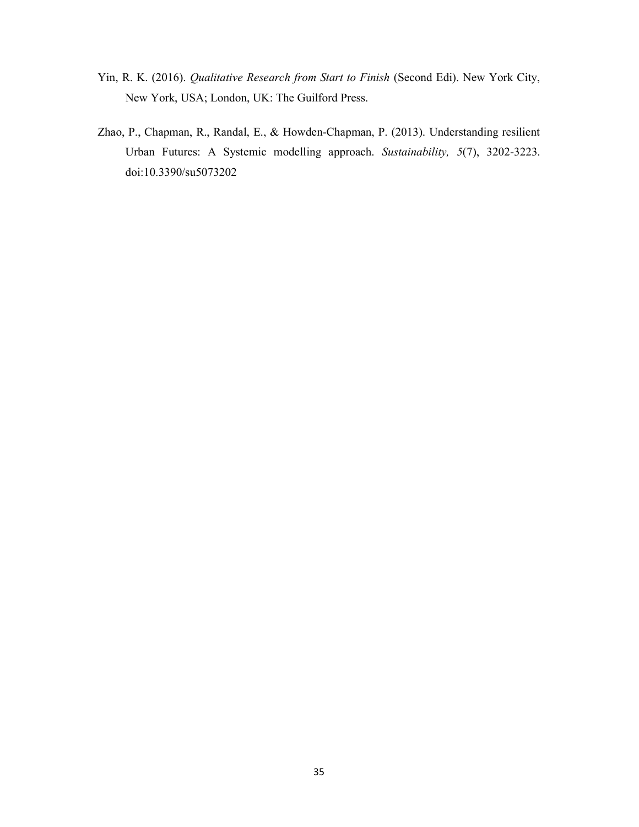- Yin, R. K. (2016). Qualitative Research from Start to Finish (Second Edi). New York City, New York, USA; London, UK: The Guilford Press.
- Zhao, P., Chapman, R., Randal, E., & Howden-Chapman, P. (2013). Understanding resilient Urban Futures: A Systemic modelling approach. Sustainability, 5(7), 3202-3223. doi:10.3390/su5073202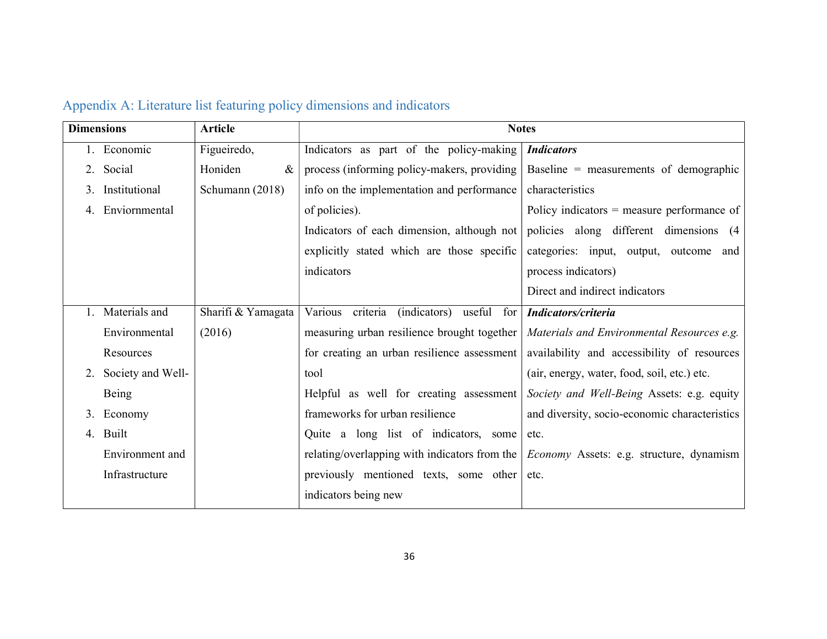| <b>Dimensions</b> |                   | <b>Article</b>     | <b>Notes</b>                                   |                                                 |
|-------------------|-------------------|--------------------|------------------------------------------------|-------------------------------------------------|
|                   | 1. Economic       | Figueiredo,        | Indicators as part of the policy-making        | <b>Indicators</b>                               |
|                   | 2. Social         | Honiden<br>$\&$    | process (informing policy-makers, providing    | Baseline = measurements of demographic          |
|                   | 3. Institutional  | Schumann (2018)    | info on the implementation and performance     | characteristics                                 |
|                   | Enviornmental     |                    | of policies).                                  | Policy indicators $=$ measure performance of    |
|                   |                   |                    | Indicators of each dimension, although not     | policies along different dimensions (4          |
|                   |                   |                    | explicitly stated which are those specific     | categories: input, output, outcome and          |
|                   |                   |                    | indicators                                     | process indicators)                             |
|                   |                   |                    |                                                | Direct and indirect indicators                  |
|                   | Materials and     | Sharifi & Yamagata | criteria<br>Various<br>(indicators) useful for | Indicators/criteria                             |
|                   | Environmental     | (2016)             | measuring urban resilience brought together    | Materials and Environmental Resources e.g.      |
|                   | Resources         |                    | for creating an urban resilience assessment    | availability and accessibility of resources     |
| 2.                | Society and Well- |                    | tool                                           | (air, energy, water, food, soil, etc.) etc.     |
|                   | Being             |                    | Helpful as well for creating assessment        | Society and Well-Being Assets: e.g. equity      |
| 3.                | Economy           |                    | frameworks for urban resilience                | and diversity, socio-economic characteristics   |
|                   | 4. Built          |                    | Quite a long list of indicators, some          | etc.                                            |
|                   | Environment and   |                    | relating/overlapping with indicators from the  | <i>Economy</i> Assets: e.g. structure, dynamism |
|                   | Infrastructure    |                    | previously mentioned texts, some other         | etc.                                            |
|                   |                   |                    | indicators being new                           |                                                 |

# Appendix A: Literature list featuring policy dimensions and indicators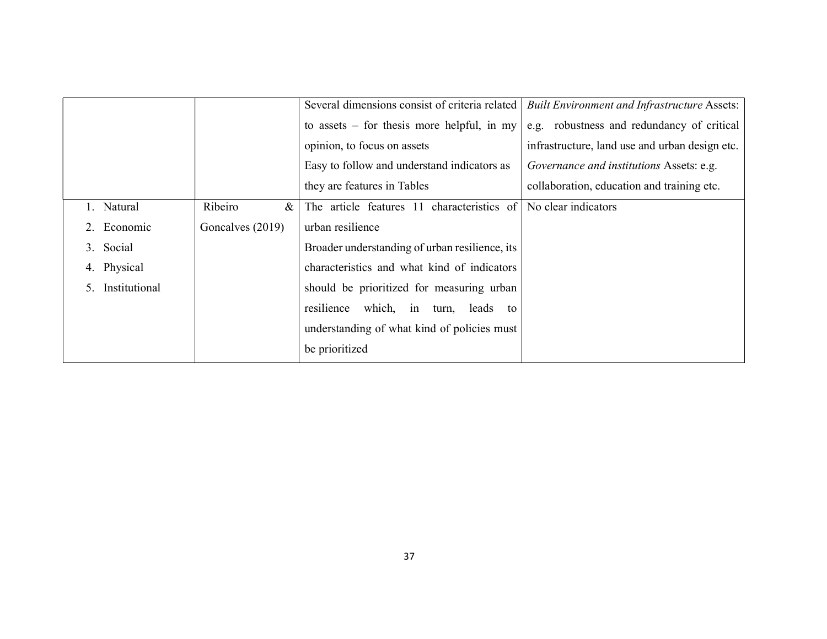|               |                  | Several dimensions consist of criteria related | <b>Built Environment and Infrastructure Assets:</b> |
|---------------|------------------|------------------------------------------------|-----------------------------------------------------|
|               |                  | to assets $-$ for thesis more helpful, in my   | e.g. robustness and redundancy of critical          |
|               |                  | opinion, to focus on assets                    | infrastructure, land use and urban design etc.      |
|               |                  | Easy to follow and understand indicators as    | Governance and institutions Assets: e.g.            |
|               |                  | they are features in Tables                    | collaboration, education and training etc.          |
| 1. Natural    | Ribeiro<br>$\&$  | The article features 11 characteristics of     | No clear indicators                                 |
| 2. Economic   | Goncalves (2019) | urban resilience                               |                                                     |
| Social<br>3.  |                  | Broader understanding of urban resilience, its |                                                     |
| 4. Physical   |                  | characteristics and what kind of indicators    |                                                     |
| Institutional |                  | should be prioritized for measuring urban      |                                                     |
|               |                  | resilience which, in turn, leads to            |                                                     |
|               |                  | understanding of what kind of policies must    |                                                     |
|               |                  | be prioritized                                 |                                                     |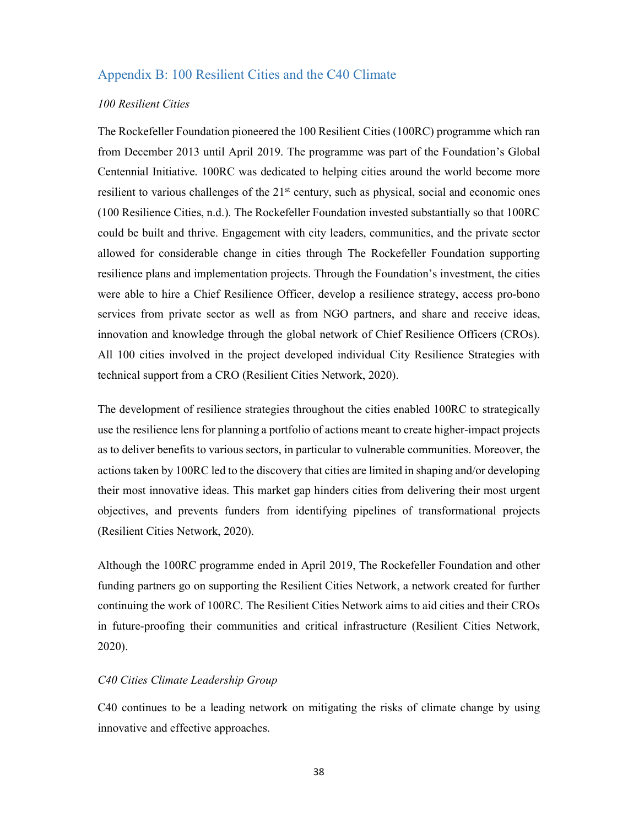## Appendix B: 100 Resilient Cities and the C40 Climate

#### 100 Resilient Cities

The Rockefeller Foundation pioneered the 100 Resilient Cities (100RC) programme which ran from December 2013 until April 2019. The programme was part of the Foundation's Global Centennial Initiative. 100RC was dedicated to helping cities around the world become more resilient to various challenges of the  $21<sup>st</sup>$  century, such as physical, social and economic ones (100 Resilience Cities, n.d.). The Rockefeller Foundation invested substantially so that 100RC could be built and thrive. Engagement with city leaders, communities, and the private sector allowed for considerable change in cities through The Rockefeller Foundation supporting resilience plans and implementation projects. Through the Foundation's investment, the cities were able to hire a Chief Resilience Officer, develop a resilience strategy, access pro-bono services from private sector as well as from NGO partners, and share and receive ideas, innovation and knowledge through the global network of Chief Resilience Officers (CROs). All 100 cities involved in the project developed individual City Resilience Strategies with technical support from a CRO (Resilient Cities Network, 2020).

The development of resilience strategies throughout the cities enabled 100RC to strategically use the resilience lens for planning a portfolio of actions meant to create higher-impact projects as to deliver benefits to various sectors, in particular to vulnerable communities. Moreover, the actions taken by 100RC led to the discovery that cities are limited in shaping and/or developing their most innovative ideas. This market gap hinders cities from delivering their most urgent objectives, and prevents funders from identifying pipelines of transformational projects (Resilient Cities Network, 2020).

Although the 100RC programme ended in April 2019, The Rockefeller Foundation and other funding partners go on supporting the Resilient Cities Network, a network created for further continuing the work of 100RC. The Resilient Cities Network aims to aid cities and their CROs in future-proofing their communities and critical infrastructure (Resilient Cities Network, 2020).

#### C40 Cities Climate Leadership Group

C40 continues to be a leading network on mitigating the risks of climate change by using innovative and effective approaches.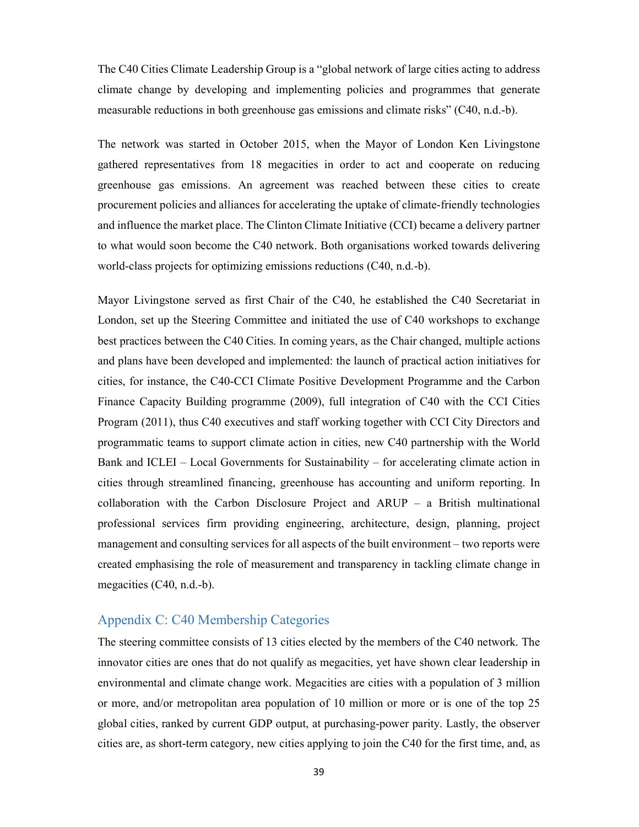The C40 Cities Climate Leadership Group is a "global network of large cities acting to address climate change by developing and implementing policies and programmes that generate measurable reductions in both greenhouse gas emissions and climate risks" (C40, n.d.-b).

The network was started in October 2015, when the Mayor of London Ken Livingstone gathered representatives from 18 megacities in order to act and cooperate on reducing greenhouse gas emissions. An agreement was reached between these cities to create procurement policies and alliances for accelerating the uptake of climate-friendly technologies and influence the market place. The Clinton Climate Initiative (CCI) became a delivery partner to what would soon become the C40 network. Both organisations worked towards delivering world-class projects for optimizing emissions reductions (C40, n.d.-b).

Mayor Livingstone served as first Chair of the C40, he established the C40 Secretariat in London, set up the Steering Committee and initiated the use of C40 workshops to exchange best practices between the C40 Cities. In coming years, as the Chair changed, multiple actions and plans have been developed and implemented: the launch of practical action initiatives for cities, for instance, the C40-CCI Climate Positive Development Programme and the Carbon Finance Capacity Building programme (2009), full integration of C40 with the CCI Cities Program (2011), thus C40 executives and staff working together with CCI City Directors and programmatic teams to support climate action in cities, new C40 partnership with the World Bank and ICLEI – Local Governments for Sustainability – for accelerating climate action in cities through streamlined financing, greenhouse has accounting and uniform reporting. In collaboration with the Carbon Disclosure Project and ARUP – a British multinational professional services firm providing engineering, architecture, design, planning, project management and consulting services for all aspects of the built environment – two reports were created emphasising the role of measurement and transparency in tackling climate change in megacities (C40, n.d.-b).

## Appendix C: C40 Membership Categories

The steering committee consists of 13 cities elected by the members of the C40 network. The innovator cities are ones that do not qualify as megacities, yet have shown clear leadership in environmental and climate change work. Megacities are cities with a population of 3 million or more, and/or metropolitan area population of 10 million or more or is one of the top 25 global cities, ranked by current GDP output, at purchasing-power parity. Lastly, the observer cities are, as short-term category, new cities applying to join the C40 for the first time, and, as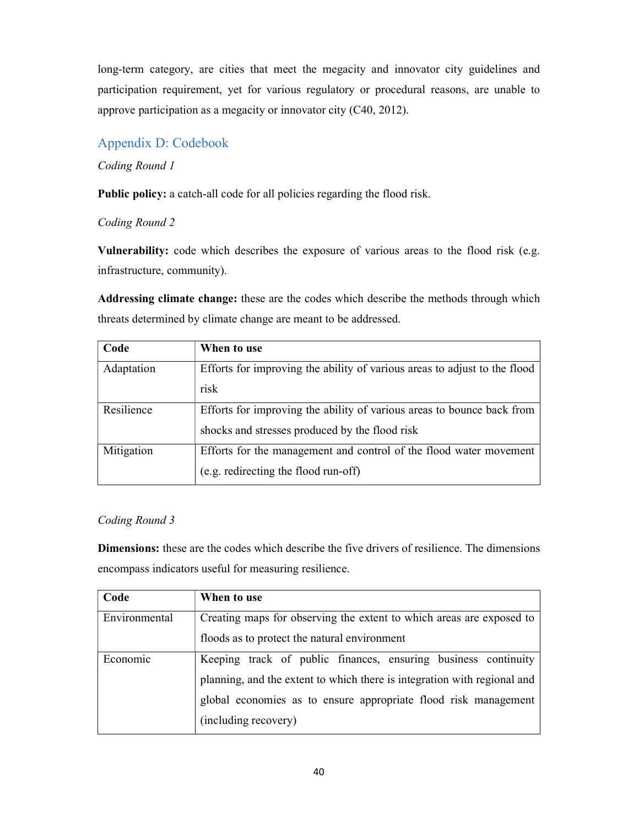long-term category, are cities that meet the megacity and innovator city guidelines and participation requirement, yet for various regulatory or procedural reasons, are unable to approve participation as a megacity or innovator city (C40, 2012).

## Appendix D: Codebook

## Coding Round 1

Public policy: a catch-all code for all policies regarding the flood risk.

## Coding Round 2

Vulnerability: code which describes the exposure of various areas to the flood risk (e.g. infrastructure, community).

Addressing climate change: these are the codes which describe the methods through which threats determined by climate change are meant to be addressed.

| Code       | When to use                                                               |  |
|------------|---------------------------------------------------------------------------|--|
| Adaptation | Efforts for improving the ability of various areas to adjust to the flood |  |
|            | risk                                                                      |  |
| Resilience | Efforts for improving the ability of various areas to bounce back from    |  |
|            | shocks and stresses produced by the flood risk                            |  |
| Mitigation | Efforts for the management and control of the flood water movement        |  |
|            | (e.g. redirecting the flood run-off)                                      |  |

## Coding Round 3

Dimensions: these are the codes which describe the five drivers of resilience. The dimensions encompass indicators useful for measuring resilience.

| Code          | When to use                                                              |  |
|---------------|--------------------------------------------------------------------------|--|
| Environmental | Creating maps for observing the extent to which areas are exposed to     |  |
|               | floods as to protect the natural environment                             |  |
| Economic      | Keeping track of public finances, ensuring business continuity           |  |
|               | planning, and the extent to which there is integration with regional and |  |
|               | global economies as to ensure appropriate flood risk management          |  |
|               | (including recovery)                                                     |  |